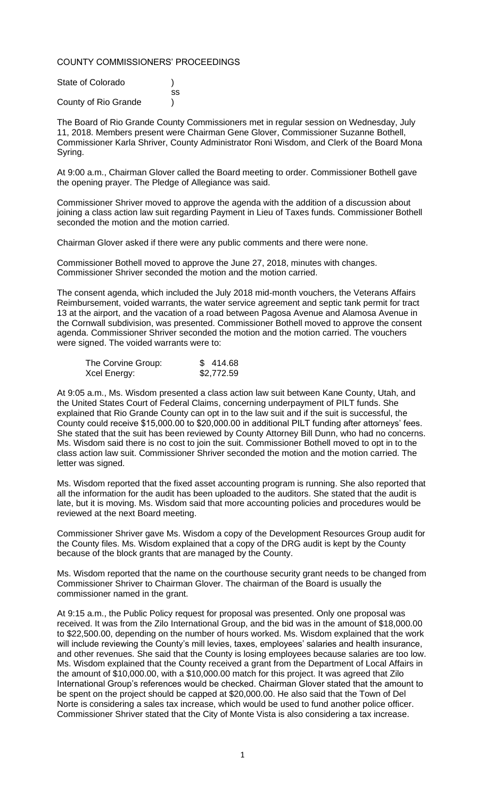## COUNTY COMMISSIONERS' PROCEEDINGS

| State of Colorado    |    |
|----------------------|----|
|                      | SS |
| County of Rio Grande |    |

The Board of Rio Grande County Commissioners met in regular session on Wednesday, July 11, 2018. Members present were Chairman Gene Glover, Commissioner Suzanne Bothell, Commissioner Karla Shriver, County Administrator Roni Wisdom, and Clerk of the Board Mona Syring.

At 9:00 a.m., Chairman Glover called the Board meeting to order. Commissioner Bothell gave the opening prayer. The Pledge of Allegiance was said.

Commissioner Shriver moved to approve the agenda with the addition of a discussion about joining a class action law suit regarding Payment in Lieu of Taxes funds. Commissioner Bothell seconded the motion and the motion carried.

Chairman Glover asked if there were any public comments and there were none.

Commissioner Bothell moved to approve the June 27, 2018, minutes with changes. Commissioner Shriver seconded the motion and the motion carried.

The consent agenda, which included the July 2018 mid-month vouchers, the Veterans Affairs Reimbursement, voided warrants, the water service agreement and septic tank permit for tract 13 at the airport, and the vacation of a road between Pagosa Avenue and Alamosa Avenue in the Cornwall subdivision, was presented. Commissioner Bothell moved to approve the consent agenda. Commissioner Shriver seconded the motion and the motion carried. The vouchers were signed. The voided warrants were to:

| The Corvine Group: | \$414.68   |
|--------------------|------------|
| Xcel Energy:       | \$2,772.59 |

At 9:05 a.m., Ms. Wisdom presented a class action law suit between Kane County, Utah, and the United States Court of Federal Claims, concerning underpayment of PILT funds. She explained that Rio Grande County can opt in to the law suit and if the suit is successful, the County could receive \$15,000.00 to \$20,000.00 in additional PILT funding after attorneys' fees. She stated that the suit has been reviewed by County Attorney Bill Dunn, who had no concerns. Ms. Wisdom said there is no cost to join the suit. Commissioner Bothell moved to opt in to the class action law suit. Commissioner Shriver seconded the motion and the motion carried. The letter was signed.

Ms. Wisdom reported that the fixed asset accounting program is running. She also reported that all the information for the audit has been uploaded to the auditors. She stated that the audit is late, but it is moving. Ms. Wisdom said that more accounting policies and procedures would be reviewed at the next Board meeting.

Commissioner Shriver gave Ms. Wisdom a copy of the Development Resources Group audit for the County files. Ms. Wisdom explained that a copy of the DRG audit is kept by the County because of the block grants that are managed by the County.

Ms. Wisdom reported that the name on the courthouse security grant needs to be changed from Commissioner Shriver to Chairman Glover. The chairman of the Board is usually the commissioner named in the grant.

At 9:15 a.m., the Public Policy request for proposal was presented. Only one proposal was received. It was from the Zilo International Group, and the bid was in the amount of \$18,000.00 to \$22,500.00, depending on the number of hours worked. Ms. Wisdom explained that the work will include reviewing the County's mill levies, taxes, employees' salaries and health insurance, and other revenues. She said that the County is losing employees because salaries are too low. Ms. Wisdom explained that the County received a grant from the Department of Local Affairs in the amount of \$10,000.00, with a \$10,000.00 match for this project. It was agreed that Zilo International Group's references would be checked. Chairman Glover stated that the amount to be spent on the project should be capped at \$20,000.00. He also said that the Town of Del Norte is considering a sales tax increase, which would be used to fund another police officer. Commissioner Shriver stated that the City of Monte Vista is also considering a tax increase.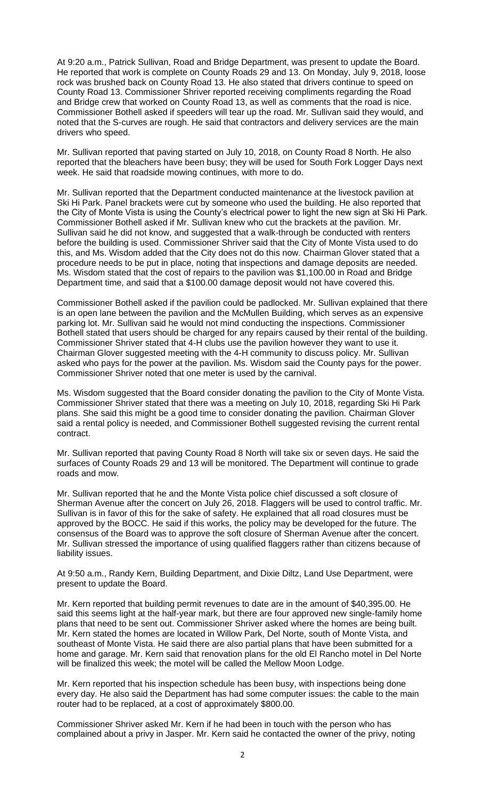At 9:20 a.m., Patrick Sullivan, Road and Bridge Department, was present to update the Board. He reported that work is complete on County Roads 29 and 13. On Monday, July 9, 2018, loose rock was brushed back on County Road 13. He also stated that drivers continue to speed on County Road 13. Commissioner Shriver reported receiving compliments regarding the Road and Bridge crew that worked on County Road 13, as well as comments that the road is nice. Commissioner Bothell asked if speeders will tear up the road. Mr. Sullivan said they would, and noted that the S-curves are rough. He said that contractors and delivery services are the main drivers who speed.

Mr. Sullivan reported that paving started on July 10, 2018, on County Road 8 North. He also reported that the bleachers have been busy; they will be used for South Fork Logger Days next week. He said that roadside mowing continues, with more to do.

Mr. Sullivan reported that the Department conducted maintenance at the livestock pavilion at Ski Hi Park. Panel brackets were cut by someone who used the building. He also reported that the City of Monte Vista is using the County's electrical power to light the new sign at Ski Hi Park. Commissioner Bothell asked if Mr. Sullivan knew who cut the brackets at the pavilion. Mr. Sullivan said he did not know, and suggested that a walk-through be conducted with renters before the building is used. Commissioner Shriver said that the City of Monte Vista used to do this, and Ms. Wisdom added that the City does not do this now. Chairman Glover stated that a procedure needs to be put in place, noting that inspections and damage deposits are needed. Ms. Wisdom stated that the cost of repairs to the pavilion was \$1,100.00 in Road and Bridge Department time, and said that a \$100.00 damage deposit would not have covered this.

Commissioner Bothell asked if the pavilion could be padlocked. Mr. Sullivan explained that there is an open lane between the pavilion and the McMullen Building, which serves as an expensive parking lot. Mr. Sullivan said he would not mind conducting the inspections. Commissioner Bothell stated that users should be charged for any repairs caused by their rental of the building. Commissioner Shriver stated that 4-H clubs use the pavilion however they want to use it. Chairman Glover suggested meeting with the 4-H community to discuss policy. Mr. Sullivan asked who pays for the power at the pavilion. Ms. Wisdom said the County pays for the power. Commissioner Shriver noted that one meter is used by the carnival.

Ms. Wisdom suggested that the Board consider donating the pavilion to the City of Monte Vista. Commissioner Shriver stated that there was a meeting on July 10, 2018, regarding Ski Hi Park plans. She said this might be a good time to consider donating the pavilion. Chairman Glover said a rental policy is needed, and Commissioner Bothell suggested revising the current rental contract.

Mr. Sullivan reported that paving County Road 8 North will take six or seven days. He said the surfaces of County Roads 29 and 13 will be monitored. The Department will continue to grade roads and mow.

Mr. Sullivan reported that he and the Monte Vista police chief discussed a soft closure of Sherman Avenue after the concert on July 26, 2018. Flaggers will be used to control traffic. Mr. Sullivan is in favor of this for the sake of safety. He explained that all road closures must be approved by the BOCC. He said if this works, the policy may be developed for the future. The consensus of the Board was to approve the soft closure of Sherman Avenue after the concert. Mr. Sullivan stressed the importance of using qualified flaggers rather than citizens because of liability issues.

At 9:50 a.m., Randy Kern, Building Department, and Dixie Diltz, Land Use Department, were present to update the Board.

Mr. Kern reported that building permit revenues to date are in the amount of \$40,395.00. He said this seems light at the half-year mark, but there are four approved new single-family home plans that need to be sent out. Commissioner Shriver asked where the homes are being built. Mr. Kern stated the homes are located in Willow Park, Del Norte, south of Monte Vista, and southeast of Monte Vista. He said there are also partial plans that have been submitted for a home and garage. Mr. Kern said that renovation plans for the old El Rancho motel in Del Norte will be finalized this week; the motel will be called the Mellow Moon Lodge.

Mr. Kern reported that his inspection schedule has been busy, with inspections being done every day. He also said the Department has had some computer issues: the cable to the main router had to be replaced, at a cost of approximately \$800.00.

Commissioner Shriver asked Mr. Kern if he had been in touch with the person who has complained about a privy in Jasper. Mr. Kern said he contacted the owner of the privy, noting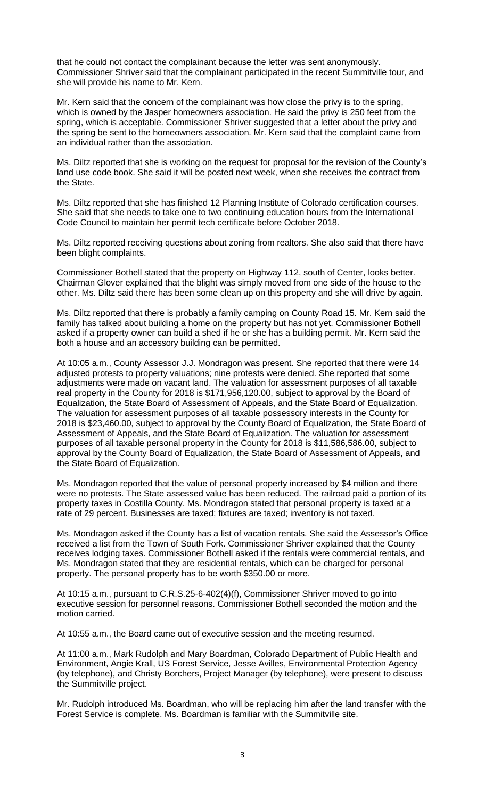that he could not contact the complainant because the letter was sent anonymously. Commissioner Shriver said that the complainant participated in the recent Summitville tour, and she will provide his name to Mr. Kern.

Mr. Kern said that the concern of the complainant was how close the privy is to the spring, which is owned by the Jasper homeowners association. He said the privy is 250 feet from the spring, which is acceptable. Commissioner Shriver suggested that a letter about the privy and the spring be sent to the homeowners association. Mr. Kern said that the complaint came from an individual rather than the association.

Ms. Diltz reported that she is working on the request for proposal for the revision of the County's land use code book. She said it will be posted next week, when she receives the contract from the State.

Ms. Diltz reported that she has finished 12 Planning Institute of Colorado certification courses. She said that she needs to take one to two continuing education hours from the International Code Council to maintain her permit tech certificate before October 2018.

Ms. Diltz reported receiving questions about zoning from realtors. She also said that there have been blight complaints.

Commissioner Bothell stated that the property on Highway 112, south of Center, looks better. Chairman Glover explained that the blight was simply moved from one side of the house to the other. Ms. Diltz said there has been some clean up on this property and she will drive by again.

Ms. Diltz reported that there is probably a family camping on County Road 15. Mr. Kern said the family has talked about building a home on the property but has not yet. Commissioner Bothell asked if a property owner can build a shed if he or she has a building permit. Mr. Kern said the both a house and an accessory building can be permitted.

At 10:05 a.m., County Assessor J.J. Mondragon was present. She reported that there were 14 adjusted protests to property valuations; nine protests were denied. She reported that some adjustments were made on vacant land. The valuation for assessment purposes of all taxable real property in the County for 2018 is \$171,956,120.00, subject to approval by the Board of Equalization, the State Board of Assessment of Appeals, and the State Board of Equalization. The valuation for assessment purposes of all taxable possessory interests in the County for 2018 is \$23,460.00, subject to approval by the County Board of Equalization, the State Board of Assessment of Appeals, and the State Board of Equalization. The valuation for assessment purposes of all taxable personal property in the County for 2018 is \$11,586,586.00, subject to approval by the County Board of Equalization, the State Board of Assessment of Appeals, and the State Board of Equalization.

Ms. Mondragon reported that the value of personal property increased by \$4 million and there were no protests. The State assessed value has been reduced. The railroad paid a portion of its property taxes in Costilla County. Ms. Mondragon stated that personal property is taxed at a rate of 29 percent. Businesses are taxed; fixtures are taxed; inventory is not taxed.

Ms. Mondragon asked if the County has a list of vacation rentals. She said the Assessor's Office received a list from the Town of South Fork. Commissioner Shriver explained that the County receives lodging taxes. Commissioner Bothell asked if the rentals were commercial rentals, and Ms. Mondragon stated that they are residential rentals, which can be charged for personal property. The personal property has to be worth \$350.00 or more.

At 10:15 a.m., pursuant to C.R.S.25-6-402(4)(f), Commissioner Shriver moved to go into executive session for personnel reasons. Commissioner Bothell seconded the motion and the motion carried.

At 10:55 a.m., the Board came out of executive session and the meeting resumed.

At 11:00 a.m., Mark Rudolph and Mary Boardman, Colorado Department of Public Health and Environment, Angie Krall, US Forest Service, Jesse Avilles, Environmental Protection Agency (by telephone), and Christy Borchers, Project Manager (by telephone), were present to discuss the Summitville project.

Mr. Rudolph introduced Ms. Boardman, who will be replacing him after the land transfer with the Forest Service is complete. Ms. Boardman is familiar with the Summitville site.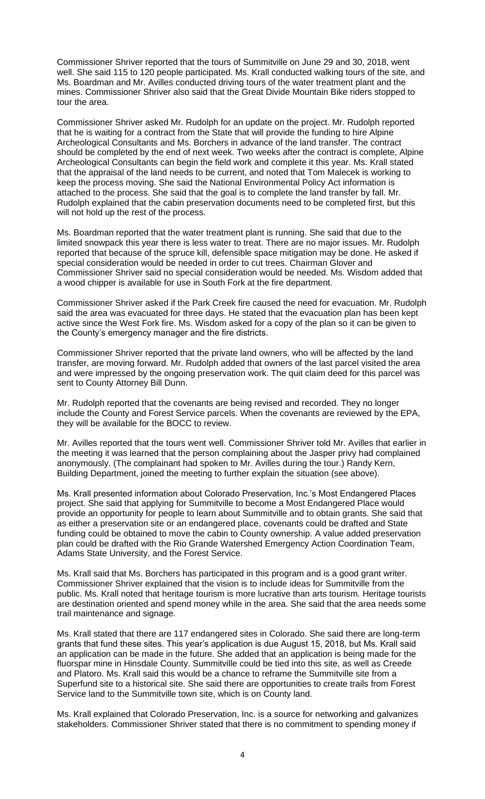Commissioner Shriver reported that the tours of Summitville on June 29 and 30, 2018, went well. She said 115 to 120 people participated. Ms. Krall conducted walking tours of the site, and Ms. Boardman and Mr. Avilles conducted driving tours of the water treatment plant and the mines. Commissioner Shriver also said that the Great Divide Mountain Bike riders stopped to tour the area.

Commissioner Shriver asked Mr. Rudolph for an update on the project. Mr. Rudolph reported that he is waiting for a contract from the State that will provide the funding to hire Alpine Archeological Consultants and Ms. Borchers in advance of the land transfer. The contract should be completed by the end of next week. Two weeks after the contract is complete, Alpine Archeological Consultants can begin the field work and complete it this year. Ms. Krall stated that the appraisal of the land needs to be current, and noted that Tom Malecek is working to keep the process moving. She said the National Environmental Policy Act information is attached to the process. She said that the goal is to complete the land transfer by fall. Mr. Rudolph explained that the cabin preservation documents need to be completed first, but this will not hold up the rest of the process.

Ms. Boardman reported that the water treatment plant is running. She said that due to the limited snowpack this year there is less water to treat. There are no major issues. Mr. Rudolph reported that because of the spruce kill, defensible space mitigation may be done. He asked if special consideration would be needed in order to cut trees. Chairman Glover and Commissioner Shriver said no special consideration would be needed. Ms. Wisdom added that a wood chipper is available for use in South Fork at the fire department.

Commissioner Shriver asked if the Park Creek fire caused the need for evacuation. Mr. Rudolph said the area was evacuated for three days. He stated that the evacuation plan has been kept active since the West Fork fire. Ms. Wisdom asked for a copy of the plan so it can be given to the County's emergency manager and the fire districts.

Commissioner Shriver reported that the private land owners, who will be affected by the land transfer, are moving forward. Mr. Rudolph added that owners of the last parcel visited the area and were impressed by the ongoing preservation work. The quit claim deed for this parcel was sent to County Attorney Bill Dunn.

Mr. Rudolph reported that the covenants are being revised and recorded. They no longer include the County and Forest Service parcels. When the covenants are reviewed by the EPA, they will be available for the BOCC to review.

Mr. Avilles reported that the tours went well. Commissioner Shriver told Mr. Avilles that earlier in the meeting it was learned that the person complaining about the Jasper privy had complained anonymously. (The complainant had spoken to Mr. Avilles during the tour.) Randy Kern, Building Department, joined the meeting to further explain the situation (see above).

Ms. Krall presented information about Colorado Preservation, Inc.'s Most Endangered Places project. She said that applying for Summitville to become a Most Endangered Place would provide an opportunity for people to learn about Summitville and to obtain grants. She said that as either a preservation site or an endangered place, covenants could be drafted and State funding could be obtained to move the cabin to County ownership. A value added preservation plan could be drafted with the Rio Grande Watershed Emergency Action Coordination Team, Adams State University, and the Forest Service.

Ms. Krall said that Ms. Borchers has participated in this program and is a good grant writer. Commissioner Shriver explained that the vision is to include ideas for Summitville from the public. Ms. Krall noted that heritage tourism is more lucrative than arts tourism. Heritage tourists are destination oriented and spend money while in the area. She said that the area needs some trail maintenance and signage.

Ms. Krall stated that there are 117 endangered sites in Colorado. She said there are long-term grants that fund these sites. This year's application is due August 15, 2018, but Ms. Krall said an application can be made in the future. She added that an application is being made for the fluorspar mine in Hinsdale County. Summitville could be tied into this site, as well as Creede and Platoro. Ms. Krall said this would be a chance to reframe the Summitville site from a Superfund site to a historical site. She said there are opportunities to create trails from Forest Service land to the Summitville town site, which is on County land.

Ms. Krall explained that Colorado Preservation, Inc. is a source for networking and galvanizes stakeholders. Commissioner Shriver stated that there is no commitment to spending money if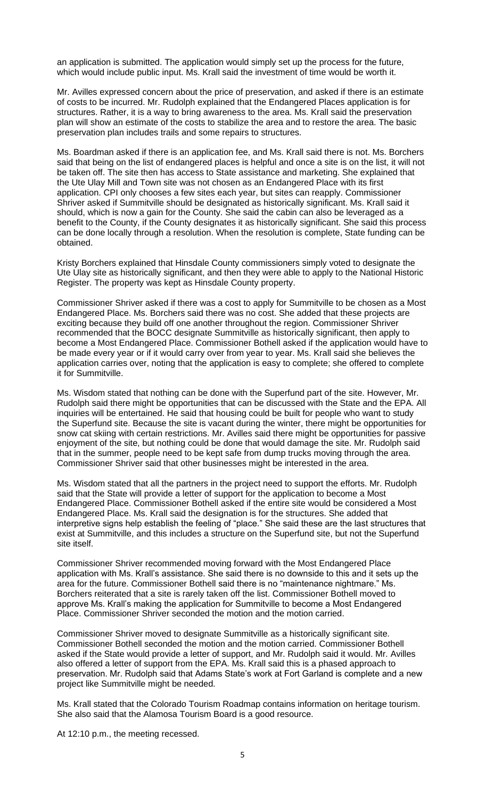an application is submitted. The application would simply set up the process for the future, which would include public input. Ms. Krall said the investment of time would be worth it.

Mr. Avilles expressed concern about the price of preservation, and asked if there is an estimate of costs to be incurred. Mr. Rudolph explained that the Endangered Places application is for structures. Rather, it is a way to bring awareness to the area. Ms. Krall said the preservation plan will show an estimate of the costs to stabilize the area and to restore the area. The basic preservation plan includes trails and some repairs to structures.

Ms. Boardman asked if there is an application fee, and Ms. Krall said there is not. Ms. Borchers said that being on the list of endangered places is helpful and once a site is on the list, it will not be taken off. The site then has access to State assistance and marketing. She explained that the Ute Ulay Mill and Town site was not chosen as an Endangered Place with its first application. CPI only chooses a few sites each year, but sites can reapply. Commissioner Shriver asked if Summitville should be designated as historically significant. Ms. Krall said it should, which is now a gain for the County. She said the cabin can also be leveraged as a benefit to the County, if the County designates it as historically significant. She said this process can be done locally through a resolution. When the resolution is complete, State funding can be obtained.

Kristy Borchers explained that Hinsdale County commissioners simply voted to designate the Ute Ulay site as historically significant, and then they were able to apply to the National Historic Register. The property was kept as Hinsdale County property.

Commissioner Shriver asked if there was a cost to apply for Summitville to be chosen as a Most Endangered Place. Ms. Borchers said there was no cost. She added that these projects are exciting because they build off one another throughout the region. Commissioner Shriver recommended that the BOCC designate Summitville as historically significant, then apply to become a Most Endangered Place. Commissioner Bothell asked if the application would have to be made every year or if it would carry over from year to year. Ms. Krall said she believes the application carries over, noting that the application is easy to complete; she offered to complete it for Summitville.

Ms. Wisdom stated that nothing can be done with the Superfund part of the site. However, Mr. Rudolph said there might be opportunities that can be discussed with the State and the EPA. All inquiries will be entertained. He said that housing could be built for people who want to study the Superfund site. Because the site is vacant during the winter, there might be opportunities for snow cat skiing with certain restrictions. Mr. Avilles said there might be opportunities for passive enjoyment of the site, but nothing could be done that would damage the site. Mr. Rudolph said that in the summer, people need to be kept safe from dump trucks moving through the area. Commissioner Shriver said that other businesses might be interested in the area.

Ms. Wisdom stated that all the partners in the project need to support the efforts. Mr. Rudolph said that the State will provide a letter of support for the application to become a Most Endangered Place. Commissioner Bothell asked if the entire site would be considered a Most Endangered Place. Ms. Krall said the designation is for the structures. She added that interpretive signs help establish the feeling of "place." She said these are the last structures that exist at Summitville, and this includes a structure on the Superfund site, but not the Superfund site itself.

Commissioner Shriver recommended moving forward with the Most Endangered Place application with Ms. Krall's assistance. She said there is no downside to this and it sets up the area for the future. Commissioner Bothell said there is no "maintenance nightmare." Ms. Borchers reiterated that a site is rarely taken off the list. Commissioner Bothell moved to approve Ms. Krall's making the application for Summitville to become a Most Endangered Place. Commissioner Shriver seconded the motion and the motion carried.

Commissioner Shriver moved to designate Summitville as a historically significant site. Commissioner Bothell seconded the motion and the motion carried. Commissioner Bothell asked if the State would provide a letter of support, and Mr. Rudolph said it would. Mr. Avilles also offered a letter of support from the EPA. Ms. Krall said this is a phased approach to preservation. Mr. Rudolph said that Adams State's work at Fort Garland is complete and a new project like Summitville might be needed.

Ms. Krall stated that the Colorado Tourism Roadmap contains information on heritage tourism. She also said that the Alamosa Tourism Board is a good resource.

At 12:10 p.m., the meeting recessed.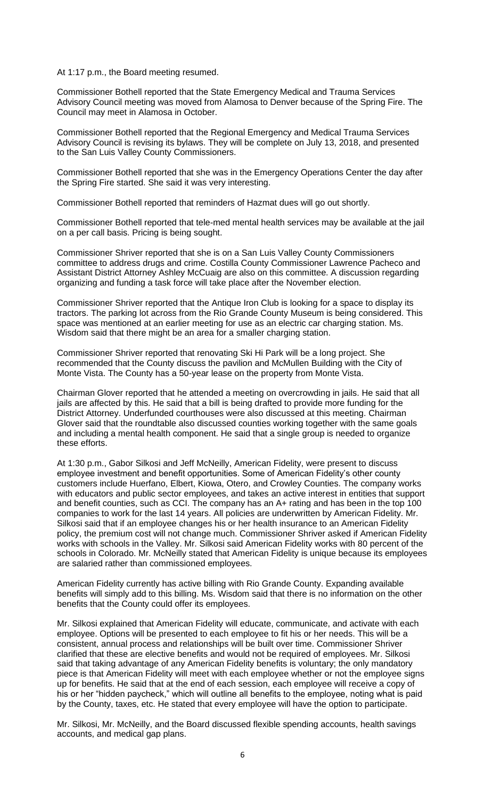At 1:17 p.m., the Board meeting resumed.

Commissioner Bothell reported that the State Emergency Medical and Trauma Services Advisory Council meeting was moved from Alamosa to Denver because of the Spring Fire. The Council may meet in Alamosa in October.

Commissioner Bothell reported that the Regional Emergency and Medical Trauma Services Advisory Council is revising its bylaws. They will be complete on July 13, 2018, and presented to the San Luis Valley County Commissioners.

Commissioner Bothell reported that she was in the Emergency Operations Center the day after the Spring Fire started. She said it was very interesting.

Commissioner Bothell reported that reminders of Hazmat dues will go out shortly.

Commissioner Bothell reported that tele-med mental health services may be available at the jail on a per call basis. Pricing is being sought.

Commissioner Shriver reported that she is on a San Luis Valley County Commissioners committee to address drugs and crime. Costilla County Commissioner Lawrence Pacheco and Assistant District Attorney Ashley McCuaig are also on this committee. A discussion regarding organizing and funding a task force will take place after the November election.

Commissioner Shriver reported that the Antique Iron Club is looking for a space to display its tractors. The parking lot across from the Rio Grande County Museum is being considered. This space was mentioned at an earlier meeting for use as an electric car charging station. Ms. Wisdom said that there might be an area for a smaller charging station.

Commissioner Shriver reported that renovating Ski Hi Park will be a long project. She recommended that the County discuss the pavilion and McMullen Building with the City of Monte Vista. The County has a 50-year lease on the property from Monte Vista.

Chairman Glover reported that he attended a meeting on overcrowding in jails. He said that all jails are affected by this. He said that a bill is being drafted to provide more funding for the District Attorney. Underfunded courthouses were also discussed at this meeting. Chairman Glover said that the roundtable also discussed counties working together with the same goals and including a mental health component. He said that a single group is needed to organize these efforts.

At 1:30 p.m., Gabor Silkosi and Jeff McNeilly, American Fidelity, were present to discuss employee investment and benefit opportunities. Some of American Fidelity's other county customers include Huerfano, Elbert, Kiowa, Otero, and Crowley Counties. The company works with educators and public sector employees, and takes an active interest in entities that support and benefit counties, such as CCI. The company has an A+ rating and has been in the top 100 companies to work for the last 14 years. All policies are underwritten by American Fidelity. Mr. Silkosi said that if an employee changes his or her health insurance to an American Fidelity policy, the premium cost will not change much. Commissioner Shriver asked if American Fidelity works with schools in the Valley. Mr. Silkosi said American Fidelity works with 80 percent of the schools in Colorado. Mr. McNeilly stated that American Fidelity is unique because its employees are salaried rather than commissioned employees.

American Fidelity currently has active billing with Rio Grande County. Expanding available benefits will simply add to this billing. Ms. Wisdom said that there is no information on the other benefits that the County could offer its employees.

Mr. Silkosi explained that American Fidelity will educate, communicate, and activate with each employee. Options will be presented to each employee to fit his or her needs. This will be a consistent, annual process and relationships will be built over time. Commissioner Shriver clarified that these are elective benefits and would not be required of employees. Mr. Silkosi said that taking advantage of any American Fidelity benefits is voluntary; the only mandatory piece is that American Fidelity will meet with each employee whether or not the employee signs up for benefits. He said that at the end of each session, each employee will receive a copy of his or her "hidden paycheck," which will outline all benefits to the employee, noting what is paid by the County, taxes, etc. He stated that every employee will have the option to participate.

Mr. Silkosi, Mr. McNeilly, and the Board discussed flexible spending accounts, health savings accounts, and medical gap plans.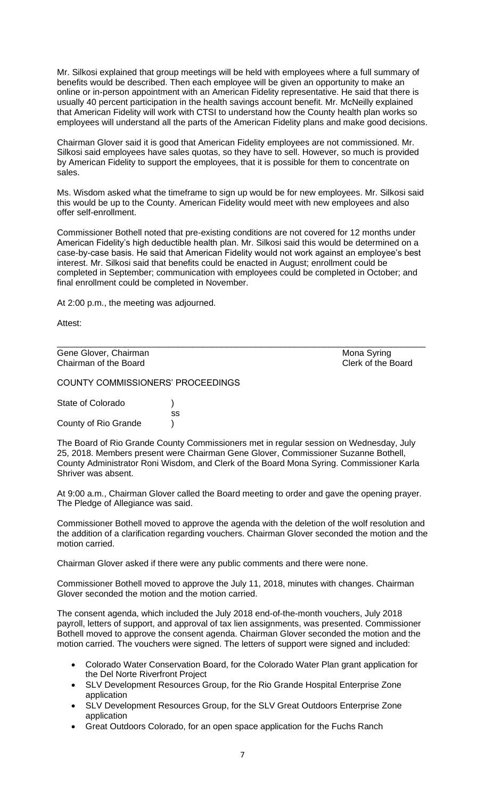Mr. Silkosi explained that group meetings will be held with employees where a full summary of benefits would be described. Then each employee will be given an opportunity to make an online or in-person appointment with an American Fidelity representative. He said that there is usually 40 percent participation in the health savings account benefit. Mr. McNeilly explained that American Fidelity will work with CTSI to understand how the County health plan works so employees will understand all the parts of the American Fidelity plans and make good decisions.

Chairman Glover said it is good that American Fidelity employees are not commissioned. Mr. Silkosi said employees have sales quotas, so they have to sell. However, so much is provided by American Fidelity to support the employees, that it is possible for them to concentrate on sales.

Ms. Wisdom asked what the timeframe to sign up would be for new employees. Mr. Silkosi said this would be up to the County. American Fidelity would meet with new employees and also offer self-enrollment.

Commissioner Bothell noted that pre-existing conditions are not covered for 12 months under American Fidelity's high deductible health plan. Mr. Silkosi said this would be determined on a case-by-case basis. He said that American Fidelity would not work against an employee's best interest. Mr. Silkosi said that benefits could be enacted in August; enrollment could be completed in September; communication with employees could be completed in October; and final enrollment could be completed in November.

At 2:00 p.m., the meeting was adjourned.

Attest:

| Gene Glover, Chairman | Mona Syring        |
|-----------------------|--------------------|
| Chairman of the Board | Clerk of the Board |

COUNTY COMMISSIONERS' PROCEEDINGS

State of Colorado (a) ss County of Rio Grande (1)

The Board of Rio Grande County Commissioners met in regular session on Wednesday, July 25, 2018. Members present were Chairman Gene Glover, Commissioner Suzanne Bothell, County Administrator Roni Wisdom, and Clerk of the Board Mona Syring. Commissioner Karla Shriver was absent.

At 9:00 a.m., Chairman Glover called the Board meeting to order and gave the opening prayer. The Pledge of Allegiance was said.

Commissioner Bothell moved to approve the agenda with the deletion of the wolf resolution and the addition of a clarification regarding vouchers. Chairman Glover seconded the motion and the motion carried.

Chairman Glover asked if there were any public comments and there were none.

Commissioner Bothell moved to approve the July 11, 2018, minutes with changes. Chairman Glover seconded the motion and the motion carried.

The consent agenda, which included the July 2018 end-of-the-month vouchers, July 2018 payroll, letters of support, and approval of tax lien assignments, was presented. Commissioner Bothell moved to approve the consent agenda. Chairman Glover seconded the motion and the motion carried. The vouchers were signed. The letters of support were signed and included:

- Colorado Water Conservation Board, for the Colorado Water Plan grant application for the Del Norte Riverfront Project
- SLV Development Resources Group, for the Rio Grande Hospital Enterprise Zone application
- SLV Development Resources Group, for the SLV Great Outdoors Enterprise Zone application
- Great Outdoors Colorado, for an open space application for the Fuchs Ranch

7

Mona Syring Clerk of the Board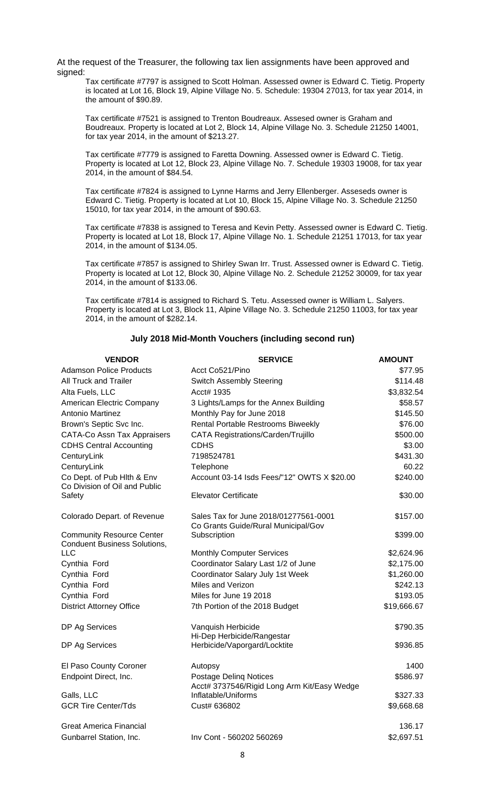At the request of the Treasurer, the following tax lien assignments have been approved and signed:

Tax certificate #7797 is assigned to Scott Holman. Assessed owner is Edward C. Tietig. Property is located at Lot 16, Block 19, Alpine Village No. 5. Schedule: 19304 27013, for tax year 2014, in the amount of \$90.89.

Tax certificate #7521 is assigned to Trenton Boudreaux. Assesed owner is Graham and Boudreaux. Property is located at Lot 2, Block 14, Alpine Village No. 3. Schedule 21250 14001, for tax year 2014, in the amount of \$213.27.

Tax certificate #7779 is assigned to Faretta Downing. Assessed owner is Edward C. Tietig. Property is located at Lot 12, Block 23, Alpine Village No. 7. Schedule 19303 19008, for tax year 2014, in the amount of \$84.54.

Tax certificate #7824 is assigned to Lynne Harms and Jerry Ellenberger. Asseseds owner is Edward C. Tietig. Property is located at Lot 10, Block 15, Alpine Village No. 3. Schedule 21250 15010, for tax year 2014, in the amount of \$90.63.

Tax certificate #7838 is assigned to Teresa and Kevin Petty. Assessed owner is Edward C. Tietig. Property is located at Lot 18, Block 17, Alpine Village No. 1. Schedule 21251 17013, for tax year 2014, in the amount of \$134.05.

Tax certificate #7857 is assigned to Shirley Swan Irr. Trust. Assessed owner is Edward C. Tietig. Property is located at Lot 12, Block 30, Alpine Village No. 2. Schedule 21252 30009, for tax year 2014, in the amount of \$133.06.

Tax certificate #7814 is assigned to Richard S. Tetu. Assessed owner is William L. Salyers. Property is located at Lot 3, Block 11, Alpine Village No. 3. Schedule 21250 11003, for tax year 2014, in the amount of \$282.14.

## **July 2018 Mid-Month Vouchers (including second run)**

| <b>Adamson Police Products</b><br>Acct Co521/Pino<br><b>All Truck and Trailer</b><br><b>Switch Assembly Steering</b><br>Acct# 1935<br>Alta Fuels, LLC<br>American Electric Company<br>3 Lights/Lamps for the Annex Building<br>Antonio Martinez<br>Monthly Pay for June 2018<br>Rental Portable Restrooms Biweekly<br>Brown's Septic Svc Inc.<br><b>CATA-Co Assn Tax Appraisers</b><br>CATA Registrations/Carden/Trujillo<br><b>CDHS Central Accounting</b><br>CDHS<br>7198524781<br>CenturyLink<br>CenturyLink<br>Telephone<br>Co Dept. of Pub Hith & Env<br>Account 03-14 Isds Fees/"12" OWTS X \$20.00<br>Co Division of Oil and Public<br>Safety<br><b>Elevator Certificate</b><br>Sales Tax for June 2018/01277561-0001<br>Colorado Depart. of Revenue<br>Co Grants Guide/Rural Municipal/Gov<br><b>Community Resource Center</b><br>Subscription<br><b>Conduent Business Solutions,</b><br><b>LLC</b><br><b>Monthly Computer Services</b><br>Coordinator Salary Last 1/2 of June<br>Cynthia Ford<br>Coordinator Salary July 1st Week<br>Cynthia Ford<br>Miles and Verizon<br>Cynthia Ford<br>Cynthia Ford<br>Miles for June 19 2018<br><b>District Attorney Office</b><br>7th Portion of the 2018 Budget<br>Vanquish Herbicide<br>DP Ag Services<br>Hi-Dep Herbicide/Rangestar<br>Herbicide/Vaporgard/Locktite<br>DP Ag Services<br>\$936.85<br>El Paso County Coroner<br>Autopsy<br>Endpoint Direct, Inc.<br><b>Postage Deling Notices</b><br>Acct# 3737546/Rigid Long Arm Kit/Easy Wedge<br>Inflatable/Uniforms<br>Galls, LLC<br><b>GCR Tire Center/Tds</b><br>Cust# 636802<br><b>Great America Financial</b><br>Gunbarrel Station, Inc.<br>Inv Cont - 560202 560269 | <b>VENDOR</b> | <b>SERVICE</b> | AMOUNT      |
|------------------------------------------------------------------------------------------------------------------------------------------------------------------------------------------------------------------------------------------------------------------------------------------------------------------------------------------------------------------------------------------------------------------------------------------------------------------------------------------------------------------------------------------------------------------------------------------------------------------------------------------------------------------------------------------------------------------------------------------------------------------------------------------------------------------------------------------------------------------------------------------------------------------------------------------------------------------------------------------------------------------------------------------------------------------------------------------------------------------------------------------------------------------------------------------------------------------------------------------------------------------------------------------------------------------------------------------------------------------------------------------------------------------------------------------------------------------------------------------------------------------------------------------------------------------------------------------------------------------------------------------------------------------------------|---------------|----------------|-------------|
|                                                                                                                                                                                                                                                                                                                                                                                                                                                                                                                                                                                                                                                                                                                                                                                                                                                                                                                                                                                                                                                                                                                                                                                                                                                                                                                                                                                                                                                                                                                                                                                                                                                                              |               |                | \$77.95     |
|                                                                                                                                                                                                                                                                                                                                                                                                                                                                                                                                                                                                                                                                                                                                                                                                                                                                                                                                                                                                                                                                                                                                                                                                                                                                                                                                                                                                                                                                                                                                                                                                                                                                              |               |                | \$114.48    |
|                                                                                                                                                                                                                                                                                                                                                                                                                                                                                                                                                                                                                                                                                                                                                                                                                                                                                                                                                                                                                                                                                                                                                                                                                                                                                                                                                                                                                                                                                                                                                                                                                                                                              |               |                | \$3,832.54  |
|                                                                                                                                                                                                                                                                                                                                                                                                                                                                                                                                                                                                                                                                                                                                                                                                                                                                                                                                                                                                                                                                                                                                                                                                                                                                                                                                                                                                                                                                                                                                                                                                                                                                              |               |                | \$58.57     |
|                                                                                                                                                                                                                                                                                                                                                                                                                                                                                                                                                                                                                                                                                                                                                                                                                                                                                                                                                                                                                                                                                                                                                                                                                                                                                                                                                                                                                                                                                                                                                                                                                                                                              |               |                | \$145.50    |
|                                                                                                                                                                                                                                                                                                                                                                                                                                                                                                                                                                                                                                                                                                                                                                                                                                                                                                                                                                                                                                                                                                                                                                                                                                                                                                                                                                                                                                                                                                                                                                                                                                                                              |               |                | \$76.00     |
|                                                                                                                                                                                                                                                                                                                                                                                                                                                                                                                                                                                                                                                                                                                                                                                                                                                                                                                                                                                                                                                                                                                                                                                                                                                                                                                                                                                                                                                                                                                                                                                                                                                                              |               |                | \$500.00    |
|                                                                                                                                                                                                                                                                                                                                                                                                                                                                                                                                                                                                                                                                                                                                                                                                                                                                                                                                                                                                                                                                                                                                                                                                                                                                                                                                                                                                                                                                                                                                                                                                                                                                              |               |                | \$3.00      |
|                                                                                                                                                                                                                                                                                                                                                                                                                                                                                                                                                                                                                                                                                                                                                                                                                                                                                                                                                                                                                                                                                                                                                                                                                                                                                                                                                                                                                                                                                                                                                                                                                                                                              |               |                | \$431.30    |
|                                                                                                                                                                                                                                                                                                                                                                                                                                                                                                                                                                                                                                                                                                                                                                                                                                                                                                                                                                                                                                                                                                                                                                                                                                                                                                                                                                                                                                                                                                                                                                                                                                                                              |               |                | 60.22       |
|                                                                                                                                                                                                                                                                                                                                                                                                                                                                                                                                                                                                                                                                                                                                                                                                                                                                                                                                                                                                                                                                                                                                                                                                                                                                                                                                                                                                                                                                                                                                                                                                                                                                              |               |                | \$240.00    |
|                                                                                                                                                                                                                                                                                                                                                                                                                                                                                                                                                                                                                                                                                                                                                                                                                                                                                                                                                                                                                                                                                                                                                                                                                                                                                                                                                                                                                                                                                                                                                                                                                                                                              |               |                | \$30.00     |
|                                                                                                                                                                                                                                                                                                                                                                                                                                                                                                                                                                                                                                                                                                                                                                                                                                                                                                                                                                                                                                                                                                                                                                                                                                                                                                                                                                                                                                                                                                                                                                                                                                                                              |               |                | \$157.00    |
|                                                                                                                                                                                                                                                                                                                                                                                                                                                                                                                                                                                                                                                                                                                                                                                                                                                                                                                                                                                                                                                                                                                                                                                                                                                                                                                                                                                                                                                                                                                                                                                                                                                                              |               |                | \$399.00    |
|                                                                                                                                                                                                                                                                                                                                                                                                                                                                                                                                                                                                                                                                                                                                                                                                                                                                                                                                                                                                                                                                                                                                                                                                                                                                                                                                                                                                                                                                                                                                                                                                                                                                              |               |                | \$2,624.96  |
|                                                                                                                                                                                                                                                                                                                                                                                                                                                                                                                                                                                                                                                                                                                                                                                                                                                                                                                                                                                                                                                                                                                                                                                                                                                                                                                                                                                                                                                                                                                                                                                                                                                                              |               |                | \$2,175.00  |
|                                                                                                                                                                                                                                                                                                                                                                                                                                                                                                                                                                                                                                                                                                                                                                                                                                                                                                                                                                                                                                                                                                                                                                                                                                                                                                                                                                                                                                                                                                                                                                                                                                                                              |               |                | \$1,260.00  |
|                                                                                                                                                                                                                                                                                                                                                                                                                                                                                                                                                                                                                                                                                                                                                                                                                                                                                                                                                                                                                                                                                                                                                                                                                                                                                                                                                                                                                                                                                                                                                                                                                                                                              |               |                | \$242.13    |
|                                                                                                                                                                                                                                                                                                                                                                                                                                                                                                                                                                                                                                                                                                                                                                                                                                                                                                                                                                                                                                                                                                                                                                                                                                                                                                                                                                                                                                                                                                                                                                                                                                                                              |               |                | \$193.05    |
|                                                                                                                                                                                                                                                                                                                                                                                                                                                                                                                                                                                                                                                                                                                                                                                                                                                                                                                                                                                                                                                                                                                                                                                                                                                                                                                                                                                                                                                                                                                                                                                                                                                                              |               |                | \$19,666.67 |
|                                                                                                                                                                                                                                                                                                                                                                                                                                                                                                                                                                                                                                                                                                                                                                                                                                                                                                                                                                                                                                                                                                                                                                                                                                                                                                                                                                                                                                                                                                                                                                                                                                                                              |               |                | \$790.35    |
|                                                                                                                                                                                                                                                                                                                                                                                                                                                                                                                                                                                                                                                                                                                                                                                                                                                                                                                                                                                                                                                                                                                                                                                                                                                                                                                                                                                                                                                                                                                                                                                                                                                                              |               |                |             |
|                                                                                                                                                                                                                                                                                                                                                                                                                                                                                                                                                                                                                                                                                                                                                                                                                                                                                                                                                                                                                                                                                                                                                                                                                                                                                                                                                                                                                                                                                                                                                                                                                                                                              |               |                |             |
|                                                                                                                                                                                                                                                                                                                                                                                                                                                                                                                                                                                                                                                                                                                                                                                                                                                                                                                                                                                                                                                                                                                                                                                                                                                                                                                                                                                                                                                                                                                                                                                                                                                                              |               |                | 1400        |
|                                                                                                                                                                                                                                                                                                                                                                                                                                                                                                                                                                                                                                                                                                                                                                                                                                                                                                                                                                                                                                                                                                                                                                                                                                                                                                                                                                                                                                                                                                                                                                                                                                                                              |               |                | \$586.97    |
|                                                                                                                                                                                                                                                                                                                                                                                                                                                                                                                                                                                                                                                                                                                                                                                                                                                                                                                                                                                                                                                                                                                                                                                                                                                                                                                                                                                                                                                                                                                                                                                                                                                                              |               |                | \$327.33    |
|                                                                                                                                                                                                                                                                                                                                                                                                                                                                                                                                                                                                                                                                                                                                                                                                                                                                                                                                                                                                                                                                                                                                                                                                                                                                                                                                                                                                                                                                                                                                                                                                                                                                              |               |                | \$9,668.68  |
|                                                                                                                                                                                                                                                                                                                                                                                                                                                                                                                                                                                                                                                                                                                                                                                                                                                                                                                                                                                                                                                                                                                                                                                                                                                                                                                                                                                                                                                                                                                                                                                                                                                                              |               |                | 136.17      |
|                                                                                                                                                                                                                                                                                                                                                                                                                                                                                                                                                                                                                                                                                                                                                                                                                                                                                                                                                                                                                                                                                                                                                                                                                                                                                                                                                                                                                                                                                                                                                                                                                                                                              |               |                | \$2,697.51  |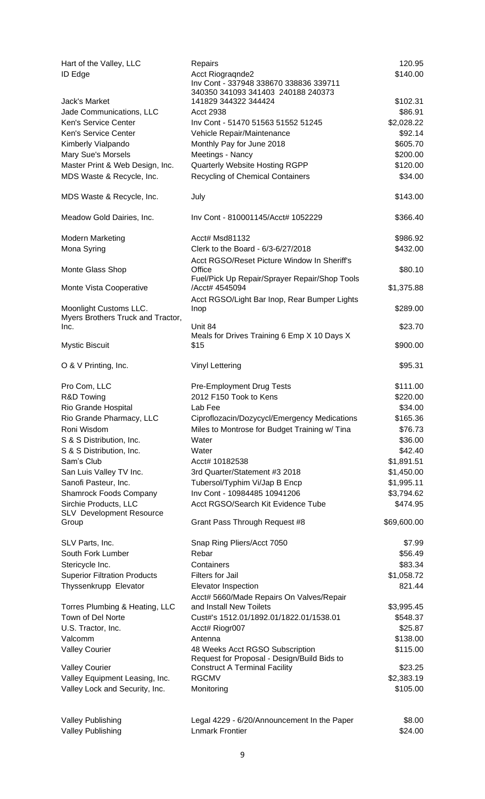| Hart of the Valley, LLC<br>ID Edge        | Repairs<br>Acct Riogragnde2<br>Inv Cont - 337948 338670 338836 339711               | 120.95<br>\$140.00 |
|-------------------------------------------|-------------------------------------------------------------------------------------|--------------------|
|                                           | 340350 341093 341403 240188 240373                                                  |                    |
| Jack's Market                             | 141829 344322 344424                                                                | \$102.31           |
| Jade Communications, LLC                  | <b>Acct 2938</b>                                                                    | \$86.91            |
| Ken's Service Center                      | Inv Cont - 51470 51563 51552 51245                                                  | \$2,028.22         |
| Ken's Service Center                      | Vehicle Repair/Maintenance                                                          | \$92.14            |
| Kimberly Vialpando                        | Monthly Pay for June 2018                                                           | \$605.70           |
| <b>Mary Sue's Morsels</b>                 | Meetings - Nancy                                                                    | \$200.00           |
| Master Print & Web Design, Inc.           | Quarterly Website Hosting RGPP                                                      | \$120.00           |
| MDS Waste & Recycle, Inc.                 | <b>Recycling of Chemical Containers</b>                                             | \$34.00            |
| MDS Waste & Recycle, Inc.                 | July                                                                                | \$143.00           |
| Meadow Gold Dairies, Inc.                 | Inv Cont - 810001145/Acct# 1052229                                                  | \$366.40           |
| Modern Marketing                          | Acct# Msd81132                                                                      | \$986.92           |
| Mona Syring                               | Clerk to the Board - 6/3-6/27/2018                                                  | \$432.00           |
|                                           | Acct RGSO/Reset Picture Window In Sheriff's                                         |                    |
| Monte Glass Shop                          | Office                                                                              | \$80.10            |
|                                           | Fuel/Pick Up Repair/Sprayer Repair/Shop Tools                                       |                    |
| Monte Vista Cooperative                   | /Acct# 4545094                                                                      | \$1,375.88         |
|                                           | Acct RGSO/Light Bar Inop, Rear Bumper Lights                                        |                    |
| Moonlight Customs LLC.                    | Inop                                                                                | \$289.00           |
| Myers Brothers Truck and Tractor,<br>Inc. | Unit 84                                                                             | \$23.70            |
|                                           | Meals for Drives Training 6 Emp X 10 Days X                                         |                    |
| <b>Mystic Biscuit</b>                     | \$15                                                                                | \$900.00           |
| O & V Printing, Inc.                      | <b>Vinyl Lettering</b>                                                              | \$95.31            |
| Pro Com, LLC                              | Pre-Employment Drug Tests                                                           | \$111.00           |
| R&D Towing                                | 2012 F150 Took to Kens                                                              | \$220.00           |
| <b>Rio Grande Hospital</b>                | Lab Fee                                                                             | \$34.00            |
| Rio Grande Pharmacy, LLC                  | Ciproflozacin/Dozycycl/Emergency Medications                                        | \$165.36           |
| Roni Wisdom                               | Miles to Montrose for Budget Training w/ Tina                                       | \$76.73            |
| S & S Distribution, Inc.                  | Water                                                                               | \$36.00            |
| S & S Distribution, Inc.                  | Water                                                                               | \$42.40            |
| Sam's Club                                | Acct# 10182538                                                                      | \$1,891.51         |
| San Luis Valley TV Inc.                   | 3rd Quarter/Statement #3 2018                                                       | \$1,450.00         |
| Sanofi Pasteur, Inc.                      | Tubersol/Typhim Vi/Jap B Encp                                                       | \$1,995.11         |
| Shamrock Foods Company                    | Inv Cont - 10984485 10941206                                                        | \$3,794.62         |
| Sirchie Products, LLC                     | Acct RGSO/Search Kit Evidence Tube                                                  | \$474.95           |
| <b>SLV</b> Development Resource           |                                                                                     |                    |
| Group                                     | Grant Pass Through Request #8                                                       | \$69,600.00        |
| SLV Parts, Inc.                           | Snap Ring Pliers/Acct 7050                                                          | \$7.99             |
| South Fork Lumber                         | Rebar                                                                               | \$56.49            |
| Stericycle Inc.                           | Containers                                                                          | \$83.34            |
| <b>Superior Filtration Products</b>       | Filters for Jail                                                                    | \$1,058.72         |
| Thyssenkrupp Elevator                     | Elevator Inspection                                                                 | 821.44             |
|                                           | Acct# 5660/Made Repairs On Valves/Repair                                            |                    |
| Torres Plumbing & Heating, LLC            | and Install New Toilets                                                             | \$3,995.45         |
| Town of Del Norte                         | Cust#'s 1512.01/1892.01/1822.01/1538.01                                             | \$548.37           |
| U.S. Tractor, Inc.                        | Acct# Riogr007                                                                      | \$25.87            |
| Valcomm                                   | Antenna                                                                             | \$138.00           |
| <b>Valley Courier</b>                     | 48 Weeks Acct RGSO Subscription                                                     | \$115.00           |
| <b>Valley Courier</b>                     | Request for Proposal - Design/Build Bids to<br><b>Construct A Terminal Facility</b> | \$23.25            |
| Valley Equipment Leasing, Inc.            | <b>RGCMV</b>                                                                        | \$2,383.19         |
| Valley Lock and Security, Inc.            | Monitoring                                                                          | \$105.00           |
|                                           |                                                                                     |                    |
| <b>Valley Publishing</b>                  | Legal 4229 - 6/20/Announcement In the Paper                                         | \$8.00             |
| <b>Valley Publishing</b>                  | <b>Lnmark Frontier</b>                                                              | \$24.00            |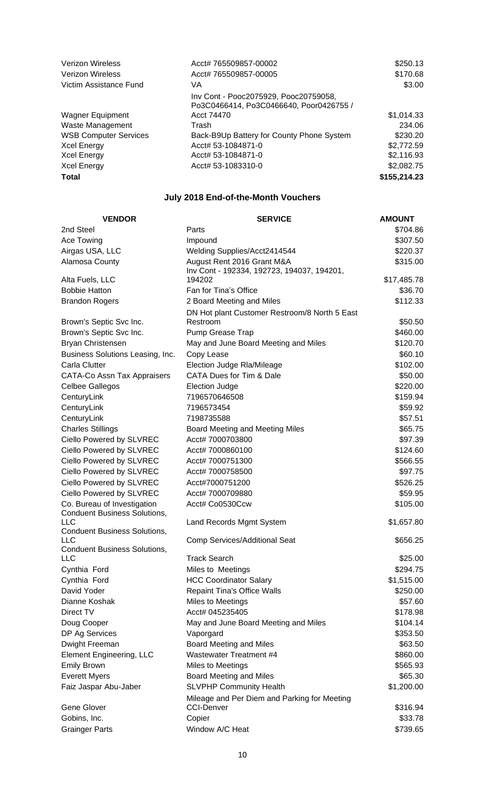| <b>Verizon Wireless</b>      | Acct# 765509857-00002                                                            | \$250.13     |
|------------------------------|----------------------------------------------------------------------------------|--------------|
| <b>Verizon Wireless</b>      | Acct# 765509857-00005                                                            | \$170.68     |
| Victim Assistance Fund       | VA                                                                               | \$3.00       |
|                              | Inv Cont - Pooc2075929, Pooc20759058,<br>Po3C0466414, Po3C0466640, Poor0426755 / |              |
| <b>Wagner Equipment</b>      | Acct 74470                                                                       | \$1,014.33   |
| Waste Management             | Trash                                                                            | 234.06       |
| <b>WSB Computer Services</b> | Back-B9Up Battery for County Phone System                                        | \$230.20     |
| <b>Xcel Energy</b>           | Acct# 53-1084871-0                                                               | \$2,772.59   |
| <b>Xcel Energy</b>           | Acct# 53-1084871-0                                                               | \$2,116.93   |
| <b>Xcel Energy</b>           | Acct# 53-1083310-0                                                               | \$2,082.75   |
| <b>Total</b>                 |                                                                                  | \$155,214.23 |

## **July 2018 End-of-the-Month Vouchers**

| <b>VENDOR</b>                                                      | <b>SERVICE</b>                                                           | <b>AMOUNT</b> |
|--------------------------------------------------------------------|--------------------------------------------------------------------------|---------------|
| 2nd Steel                                                          | Parts                                                                    | \$704.86      |
| Ace Towing                                                         | Impound                                                                  | \$307.50      |
| Airgas USA, LLC                                                    | Welding Supplies/Acct2414544                                             | \$220.37      |
| Alamosa County                                                     | August Rent 2016 Grant M&A<br>Inv Cont - 192334, 192723, 194037, 194201, | \$315.00      |
| Alta Fuels, LLC                                                    | 194202                                                                   | \$17,485.78   |
| <b>Bobbie Hatton</b>                                               | Fan for Tina's Office                                                    | \$36.70       |
| <b>Brandon Rogers</b>                                              | 2 Board Meeting and Miles                                                | \$112.33      |
|                                                                    | DN Hot plant Customer Restroom/8 North 5 East                            |               |
| Brown's Septic Svc Inc.                                            | Restroom                                                                 | \$50.50       |
| Brown's Septic Svc Inc.                                            | Pump Grease Trap                                                         | \$460.00      |
| Bryan Christensen                                                  | May and June Board Meeting and Miles                                     | \$120.70      |
| Business Solutions Leasing, Inc.                                   | Copy Lease                                                               | \$60.10       |
| Carla Clutter                                                      | Election Judge Rla/Mileage                                               | \$102.00      |
| CATA-Co Assn Tax Appraisers                                        | <b>CATA Dues for Tim &amp; Dale</b>                                      | \$50.00       |
| <b>Celbee Gallegos</b>                                             | <b>Election Judge</b>                                                    | \$220.00      |
| CenturyLink                                                        | 7196570646508                                                            | \$159.94      |
| CenturyLink                                                        | 7196573454                                                               | \$59.92       |
| CenturyLink                                                        | 7198735588                                                               | \$57.51       |
| <b>Charles Stillings</b>                                           | Board Meeting and Meeting Miles                                          | \$65.75       |
| Ciello Powered by SLVREC                                           | Acct# 7000703800                                                         | \$97.39       |
| Ciello Powered by SLVREC                                           | Acct# 7000860100                                                         | \$124.60      |
| Ciello Powered by SLVREC                                           | Acct# 7000751300                                                         | \$566.55      |
| Ciello Powered by SLVREC                                           | Acct# 7000758500                                                         | \$97.75       |
| Ciello Powered by SLVREC                                           | Acct#7000751200                                                          | \$526.25      |
| Ciello Powered by SLVREC                                           | Acct# 7000709880                                                         | \$59.95       |
| Co. Bureau of Investigation<br><b>Conduent Business Solutions,</b> | Acct# Co0530Ccw                                                          | \$105.00      |
| <b>LLC</b><br><b>Conduent Business Solutions,</b>                  | Land Records Mgmt System                                                 | \$1,657.80    |
| <b>LLC</b><br><b>Conduent Business Solutions,</b>                  | Comp Services/Additional Seat                                            | \$656.25      |
| <b>LLC</b>                                                         | <b>Track Search</b>                                                      | \$25.00       |
| Cynthia Ford                                                       | Miles to Meetings                                                        | \$294.75      |
| Cynthia Ford                                                       | <b>HCC Coordinator Salary</b>                                            | \$1,515.00    |
| David Yoder                                                        | <b>Repaint Tina's Office Walls</b>                                       | \$250.00      |
| Dianne Koshak                                                      | Miles to Meetings                                                        | \$57.60       |
| Direct TV                                                          | Acct# 045235405                                                          | \$178.98      |
| Doug Cooper                                                        | May and June Board Meeting and Miles                                     | \$104.14      |
| DP Ag Services                                                     | Vaporgard                                                                | \$353.50      |
| Dwight Freeman                                                     | <b>Board Meeting and Miles</b>                                           | \$63.50       |
| <b>Element Engineering, LLC</b>                                    | <b>Wastewater Treatment #4</b>                                           | \$860.00      |
| <b>Emily Brown</b>                                                 | Miles to Meetings                                                        | \$565.93      |
| <b>Everett Myers</b>                                               | Board Meeting and Miles                                                  | \$65.30       |
| Faiz Jaspar Abu-Jaber                                              | <b>SLVPHP Community Health</b>                                           | \$1,200.00    |
|                                                                    | Mileage and Per Diem and Parking for Meeting                             |               |
| <b>Gene Glover</b>                                                 | <b>CCI-Denver</b>                                                        | \$316.94      |
| Gobins, Inc.                                                       | Copier                                                                   | \$33.78       |
| <b>Grainger Parts</b>                                              | Window A/C Heat                                                          | \$739.65      |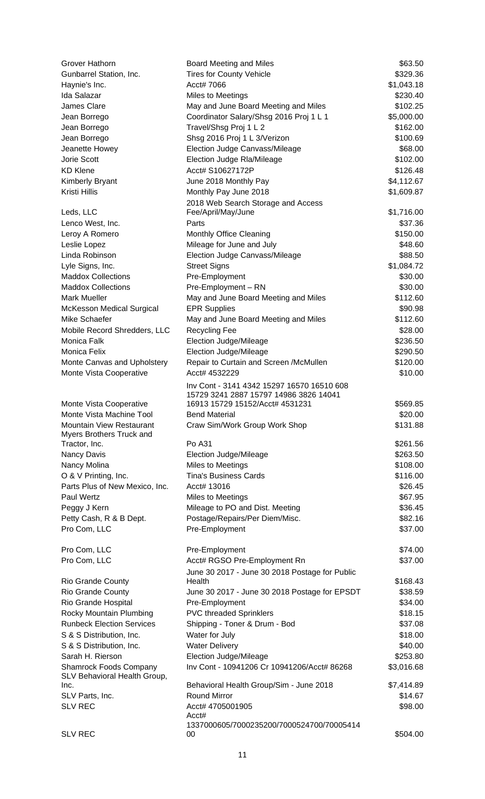| Grover Hathorn                                                | Board Meeting and Miles                                                   | \$63.50    |
|---------------------------------------------------------------|---------------------------------------------------------------------------|------------|
| Gunbarrel Station, Inc.                                       | <b>Tires for County Vehicle</b>                                           | \$329.36   |
| Haynie's Inc.                                                 | Acct# 7066                                                                | \$1,043.18 |
| Ida Salazar                                                   | Miles to Meetings                                                         | \$230.40   |
| James Clare                                                   | May and June Board Meeting and Miles                                      | \$102.25   |
| Jean Borrego                                                  | Coordinator Salary/Shsg 2016 Proj 1 L 1                                   | \$5,000.00 |
| Jean Borrego                                                  | Travel/Shsg Proj 1 L 2                                                    | \$162.00   |
| Jean Borrego                                                  | Shsg 2016 Proj 1 L 3/Verizon                                              | \$100.69   |
| Jeanette Howey                                                | Election Judge Canvass/Mileage                                            | \$68.00    |
| Jorie Scott                                                   | Election Judge Rla/Mileage                                                | \$102.00   |
| <b>KD Klene</b>                                               | Acct# S10627172P                                                          | \$126.48   |
| Kimberly Bryant                                               | June 2018 Monthly Pay                                                     | \$4,112.67 |
| Kristi Hillis                                                 | Monthly Pay June 2018                                                     | \$1,609.87 |
|                                                               | 2018 Web Search Storage and Access                                        |            |
| Leds, LLC                                                     | Fee/April/May/June                                                        | \$1,716.00 |
| Lenco West, Inc.                                              | Parts                                                                     | \$37.36    |
| Leroy A Romero                                                | Monthly Office Cleaning                                                   | \$150.00   |
| Leslie Lopez                                                  | Mileage for June and July                                                 | \$48.60    |
| Linda Robinson                                                | Election Judge Canvass/Mileage                                            | \$88.50    |
| Lyle Signs, Inc.                                              | <b>Street Signs</b>                                                       | \$1,084.72 |
| <b>Maddox Collections</b>                                     | Pre-Employment                                                            | \$30.00    |
| <b>Maddox Collections</b>                                     | Pre-Employment - RN                                                       | \$30.00    |
| <b>Mark Mueller</b>                                           | May and June Board Meeting and Miles                                      | \$112.60   |
| <b>McKesson Medical Surgical</b>                              | <b>EPR Supplies</b>                                                       | \$90.98    |
| Mike Schaefer                                                 | May and June Board Meeting and Miles                                      | \$112.60   |
| Mobile Record Shredders, LLC                                  | <b>Recycling Fee</b>                                                      | \$28.00    |
| Monica Falk                                                   | Election Judge/Mileage                                                    | \$236.50   |
| Monica Felix                                                  | Election Judge/Mileage                                                    | \$290.50   |
| Monte Canvas and Upholstery                                   | Repair to Curtain and Screen /McMullen                                    | \$120.00   |
| Monte Vista Cooperative                                       | Acct# 4532229                                                             | \$10.00    |
|                                                               | Inv Cont - 3141 4342 15297 16570 16510 608                                |            |
|                                                               | 15729 3241 2887 15797 14986 3826 14041<br>16913 15729 15152/Acct# 4531231 | \$569.85   |
| Monte Vista Cooperative<br>Monte Vista Machine Tool           | <b>Bend Material</b>                                                      | \$20.00    |
| Mountain View Restaurant                                      | Craw Sim/Work Group Work Shop                                             | \$131.88   |
| Myers Brothers Truck and                                      |                                                                           |            |
| Tractor, Inc.                                                 | Po A31                                                                    | \$261.56   |
| Nancy Davis                                                   | Election Judge/Mileage                                                    | \$263.50   |
| Nancy Molina                                                  | Miles to Meetings                                                         | \$108.00   |
| O & V Printing, Inc.                                          | <b>Tina's Business Cards</b>                                              | \$116.00   |
| Parts Plus of New Mexico, Inc.                                | Acct# 13016                                                               | \$26.45    |
| Paul Wertz                                                    | Miles to Meetings                                                         | \$67.95    |
| Peggy J Kern                                                  | Mileage to PO and Dist. Meeting                                           | \$36.45    |
| Petty Cash, R & B Dept.                                       | Postage/Repairs/Per Diem/Misc.                                            | \$82.16    |
| Pro Com, LLC                                                  | Pre-Employment                                                            | \$37.00    |
|                                                               |                                                                           |            |
| Pro Com, LLC                                                  | Pre-Employment                                                            | \$74.00    |
| Pro Com, LLC                                                  | Acct# RGSO Pre-Employment Rn                                              | \$37.00    |
|                                                               | June 30 2017 - June 30 2018 Postage for Public                            |            |
| <b>Rio Grande County</b>                                      | Health                                                                    | \$168.43   |
| <b>Rio Grande County</b>                                      | June 30 2017 - June 30 2018 Postage for EPSDT                             | \$38.59    |
| Rio Grande Hospital                                           | Pre-Employment                                                            | \$34.00    |
| Rocky Mountain Plumbing                                       | <b>PVC threaded Sprinklers</b>                                            | \$18.15    |
| <b>Runbeck Election Services</b>                              | Shipping - Toner & Drum - Bod                                             | \$37.08    |
| S & S Distribution, Inc.                                      | Water for July                                                            | \$18.00    |
| S & S Distribution, Inc.                                      | <b>Water Delivery</b>                                                     | \$40.00    |
| Sarah H. Rierson                                              | Election Judge/Mileage                                                    | \$253.80   |
| <b>Shamrock Foods Company</b><br>SLV Behavioral Health Group, | Inv Cont - 10941206 Cr 10941206/Acct# 86268                               | \$3,016.68 |
| Inc.                                                          | Behavioral Health Group/Sim - June 2018                                   | \$7,414.89 |
| SLV Parts, Inc.                                               | <b>Round Mirror</b>                                                       | \$14.67    |
| <b>SLV REC</b>                                                | Acct# 4705001905                                                          | \$98.00    |
|                                                               | Acct#                                                                     |            |
| <b>SLV REC</b>                                                | 1337000605/7000235200/7000524700/70005414<br>00                           | \$504.00   |
|                                                               |                                                                           |            |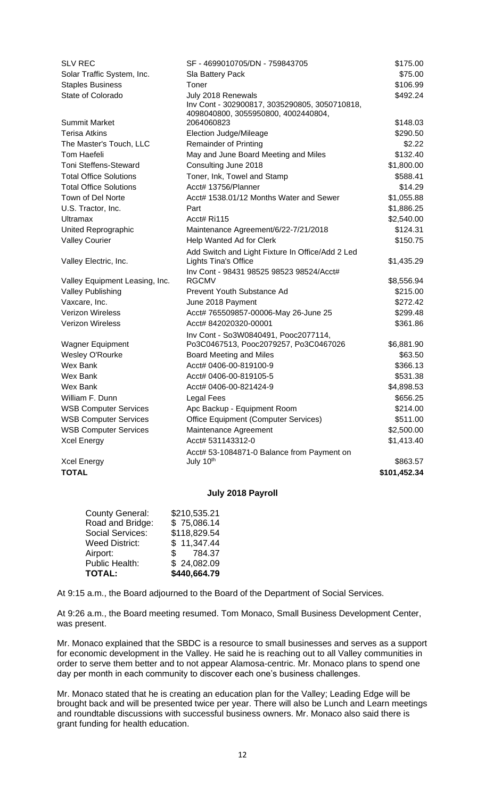| <b>SLV REC</b>                     | SF - 4699010705/DN - 759843705                    | \$175.00                 |
|------------------------------------|---------------------------------------------------|--------------------------|
| Solar Traffic System, Inc.         | Sla Battery Pack                                  | \$75.00                  |
| <b>Staples Business</b>            | Toner                                             | \$106.99                 |
| State of Colorado                  | July 2018 Renewals                                | \$492.24                 |
|                                    | Inv Cont - 302900817, 3035290805, 3050710818,     |                          |
| <b>Summit Market</b>               | 4098040800, 3055950800, 4002440804,<br>2064060823 | \$148.03                 |
| <b>Terisa Atkins</b>               | <b>Election Judge/Mileage</b>                     | \$290.50                 |
| The Master's Touch, LLC            | <b>Remainder of Printing</b>                      | \$2.22                   |
| <b>Tom Haefeli</b>                 | May and June Board Meeting and Miles              | \$132.40                 |
| <b>Toni Steffens-Steward</b>       | Consulting June 2018                              | \$1,800.00               |
| <b>Total Office Solutions</b>      | Toner, Ink, Towel and Stamp                       | \$588.41                 |
| <b>Total Office Solutions</b>      | Acct# 13756/Planner                               | \$14.29                  |
| Town of Del Norte                  | Acct# 1538.01/12 Months Water and Sewer           | \$1,055.88               |
| U.S. Tractor, Inc.                 | Part                                              | \$1,886.25               |
| <b>Ultramax</b>                    | Acct# Ri115                                       | \$2,540.00               |
| United Reprographic                | Maintenance Agreement/6/22-7/21/2018              | \$124.31                 |
| <b>Valley Courier</b>              | Help Wanted Ad for Clerk                          | \$150.75                 |
|                                    | Add Switch and Light Fixture In Office/Add 2 Led  |                          |
| Valley Electric, Inc.              | <b>Lights Tina's Office</b>                       | \$1,435.29               |
|                                    | Inv Cont - 98431 98525 98523 98524/Acct#          |                          |
| Valley Equipment Leasing, Inc.     | <b>RGCMV</b>                                      | \$8,556.94               |
| <b>Valley Publishing</b>           | Prevent Youth Substance Ad                        | \$215.00                 |
| Vaxcare, Inc.                      | June 2018 Payment                                 | \$272.42                 |
| <b>Verizon Wireless</b>            | Acct# 765509857-00006-May 26-June 25              | \$299.48                 |
| <b>Verizon Wireless</b>            | Acct# 842020320-00001                             | \$361.86                 |
|                                    | Inv Cont - So3W0840491, Pooc2077114,              |                          |
| <b>Wagner Equipment</b>            | Po3C0467513, Pooc2079257, Po3C0467026             | \$6,881.90               |
| Wesley O'Rourke                    | Board Meeting and Miles                           | \$63.50                  |
| <b>Wex Bank</b>                    | Acct# 0406-00-819100-9                            | \$366.13                 |
| Wex Bank                           | Acct# 0406-00-819105-5                            | \$531.38                 |
| Wex Bank                           | Acct# 0406-00-821424-9                            | \$4,898.53               |
| William F. Dunn                    | <b>Legal Fees</b>                                 | \$656.25                 |
| <b>WSB Computer Services</b>       | Apc Backup - Equipment Room                       | \$214.00                 |
| <b>WSB Computer Services</b>       | <b>Office Equipment (Computer Services)</b>       | \$511.00                 |
| <b>WSB Computer Services</b>       | Maintenance Agreement                             | \$2,500.00               |
| <b>Xcel Energy</b>                 | Acct# 531143312-0                                 | \$1,413.40               |
|                                    | Acct# 53-1084871-0 Balance from Payment on        |                          |
| <b>Xcel Energy</b><br><b>TOTAL</b> | July 10th                                         | \$863.57<br>\$101,452.34 |
|                                    |                                                   |                          |
|                                    |                                                   |                          |

## **July 2018 Payroll**

| \$210,535.21 |
|--------------|
| \$75,086.14  |
| \$118,829.54 |
| \$11,347.44  |
| \$784.37     |
| \$24,082.09  |
| \$440,664.79 |
|              |

At 9:15 a.m., the Board adjourned to the Board of the Department of Social Services.

At 9:26 a.m., the Board meeting resumed. Tom Monaco, Small Business Development Center, was present.

Mr. Monaco explained that the SBDC is a resource to small businesses and serves as a support for economic development in the Valley. He said he is reaching out to all Valley communities in order to serve them better and to not appear Alamosa-centric. Mr. Monaco plans to spend one day per month in each community to discover each one's business challenges.

Mr. Monaco stated that he is creating an education plan for the Valley; Leading Edge will be brought back and will be presented twice per year. There will also be Lunch and Learn meetings and roundtable discussions with successful business owners. Mr. Monaco also said there is grant funding for health education.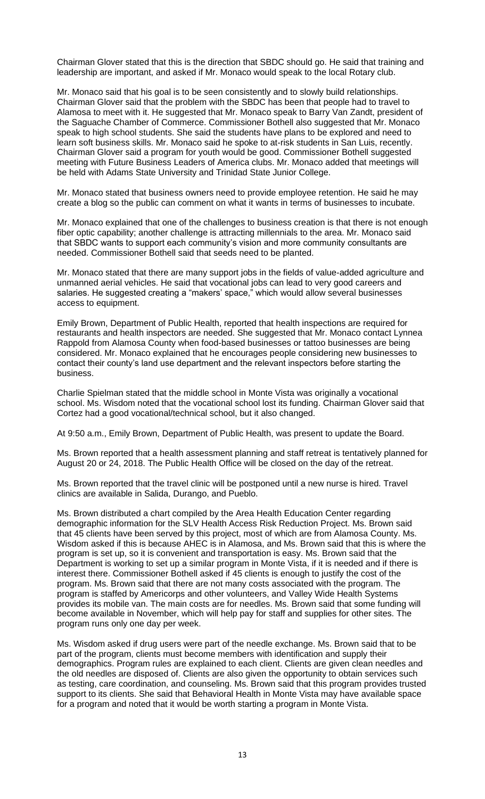Chairman Glover stated that this is the direction that SBDC should go. He said that training and leadership are important, and asked if Mr. Monaco would speak to the local Rotary club.

Mr. Monaco said that his goal is to be seen consistently and to slowly build relationships. Chairman Glover said that the problem with the SBDC has been that people had to travel to Alamosa to meet with it. He suggested that Mr. Monaco speak to Barry Van Zandt, president of the Saguache Chamber of Commerce. Commissioner Bothell also suggested that Mr. Monaco speak to high school students. She said the students have plans to be explored and need to learn soft business skills. Mr. Monaco said he spoke to at-risk students in San Luis, recently. Chairman Glover said a program for youth would be good. Commissioner Bothell suggested meeting with Future Business Leaders of America clubs. Mr. Monaco added that meetings will be held with Adams State University and Trinidad State Junior College.

Mr. Monaco stated that business owners need to provide employee retention. He said he may create a blog so the public can comment on what it wants in terms of businesses to incubate.

Mr. Monaco explained that one of the challenges to business creation is that there is not enough fiber optic capability; another challenge is attracting millennials to the area. Mr. Monaco said that SBDC wants to support each community's vision and more community consultants are needed. Commissioner Bothell said that seeds need to be planted.

Mr. Monaco stated that there are many support jobs in the fields of value-added agriculture and unmanned aerial vehicles. He said that vocational jobs can lead to very good careers and salaries. He suggested creating a "makers' space," which would allow several businesses access to equipment.

Emily Brown, Department of Public Health, reported that health inspections are required for restaurants and health inspectors are needed. She suggested that Mr. Monaco contact Lynnea Rappold from Alamosa County when food-based businesses or tattoo businesses are being considered. Mr. Monaco explained that he encourages people considering new businesses to contact their county's land use department and the relevant inspectors before starting the business.

Charlie Spielman stated that the middle school in Monte Vista was originally a vocational school. Ms. Wisdom noted that the vocational school lost its funding. Chairman Glover said that Cortez had a good vocational/technical school, but it also changed.

At 9:50 a.m., Emily Brown, Department of Public Health, was present to update the Board.

Ms. Brown reported that a health assessment planning and staff retreat is tentatively planned for August 20 or 24, 2018. The Public Health Office will be closed on the day of the retreat.

Ms. Brown reported that the travel clinic will be postponed until a new nurse is hired. Travel clinics are available in Salida, Durango, and Pueblo.

Ms. Brown distributed a chart compiled by the Area Health Education Center regarding demographic information for the SLV Health Access Risk Reduction Project. Ms. Brown said that 45 clients have been served by this project, most of which are from Alamosa County. Ms. Wisdom asked if this is because AHEC is in Alamosa, and Ms. Brown said that this is where the program is set up, so it is convenient and transportation is easy. Ms. Brown said that the Department is working to set up a similar program in Monte Vista, if it is needed and if there is interest there. Commissioner Bothell asked if 45 clients is enough to justify the cost of the program. Ms. Brown said that there are not many costs associated with the program. The program is staffed by Americorps and other volunteers, and Valley Wide Health Systems provides its mobile van. The main costs are for needles. Ms. Brown said that some funding will become available in November, which will help pay for staff and supplies for other sites. The program runs only one day per week.

Ms. Wisdom asked if drug users were part of the needle exchange. Ms. Brown said that to be part of the program, clients must become members with identification and supply their demographics. Program rules are explained to each client. Clients are given clean needles and the old needles are disposed of. Clients are also given the opportunity to obtain services such as testing, care coordination, and counseling. Ms. Brown said that this program provides trusted support to its clients. She said that Behavioral Health in Monte Vista may have available space for a program and noted that it would be worth starting a program in Monte Vista.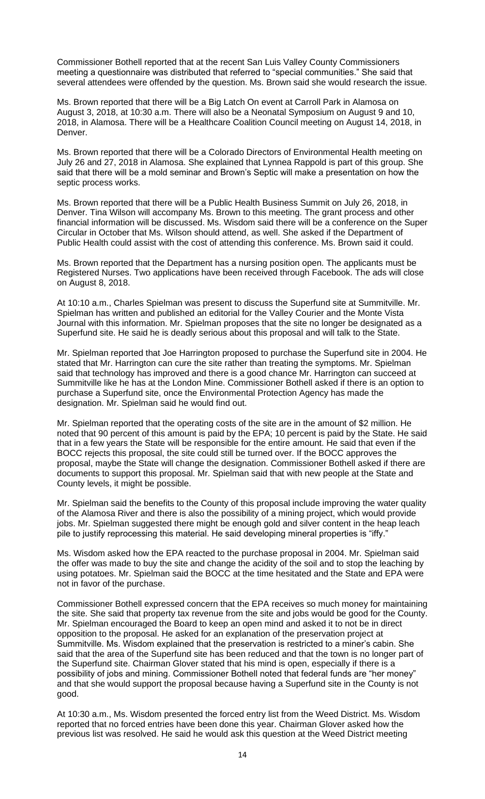Commissioner Bothell reported that at the recent San Luis Valley County Commissioners meeting a questionnaire was distributed that referred to "special communities." She said that several attendees were offended by the question. Ms. Brown said she would research the issue.

Ms. Brown reported that there will be a Big Latch On event at Carroll Park in Alamosa on August 3, 2018, at 10:30 a.m. There will also be a Neonatal Symposium on August 9 and 10, 2018, in Alamosa. There will be a Healthcare Coalition Council meeting on August 14, 2018, in Denver.

Ms. Brown reported that there will be a Colorado Directors of Environmental Health meeting on July 26 and 27, 2018 in Alamosa. She explained that Lynnea Rappold is part of this group. She said that there will be a mold seminar and Brown's Septic will make a presentation on how the septic process works.

Ms. Brown reported that there will be a Public Health Business Summit on July 26, 2018, in Denver. Tina Wilson will accompany Ms. Brown to this meeting. The grant process and other financial information will be discussed. Ms. Wisdom said there will be a conference on the Super Circular in October that Ms. Wilson should attend, as well. She asked if the Department of Public Health could assist with the cost of attending this conference. Ms. Brown said it could.

Ms. Brown reported that the Department has a nursing position open. The applicants must be Registered Nurses. Two applications have been received through Facebook. The ads will close on August 8, 2018.

At 10:10 a.m., Charles Spielman was present to discuss the Superfund site at Summitville. Mr. Spielman has written and published an editorial for the Valley Courier and the Monte Vista Journal with this information. Mr. Spielman proposes that the site no longer be designated as a Superfund site. He said he is deadly serious about this proposal and will talk to the State.

Mr. Spielman reported that Joe Harrington proposed to purchase the Superfund site in 2004. He stated that Mr. Harrington can cure the site rather than treating the symptoms. Mr. Spielman said that technology has improved and there is a good chance Mr. Harrington can succeed at Summitville like he has at the London Mine. Commissioner Bothell asked if there is an option to purchase a Superfund site, once the Environmental Protection Agency has made the designation. Mr. Spielman said he would find out.

Mr. Spielman reported that the operating costs of the site are in the amount of \$2 million. He noted that 90 percent of this amount is paid by the EPA; 10 percent is paid by the State. He said that in a few years the State will be responsible for the entire amount. He said that even if the BOCC rejects this proposal, the site could still be turned over. If the BOCC approves the proposal, maybe the State will change the designation. Commissioner Bothell asked if there are documents to support this proposal. Mr. Spielman said that with new people at the State and County levels, it might be possible.

Mr. Spielman said the benefits to the County of this proposal include improving the water quality of the Alamosa River and there is also the possibility of a mining project, which would provide jobs. Mr. Spielman suggested there might be enough gold and silver content in the heap leach pile to justify reprocessing this material. He said developing mineral properties is "iffy."

Ms. Wisdom asked how the EPA reacted to the purchase proposal in 2004. Mr. Spielman said the offer was made to buy the site and change the acidity of the soil and to stop the leaching by using potatoes. Mr. Spielman said the BOCC at the time hesitated and the State and EPA were not in favor of the purchase.

Commissioner Bothell expressed concern that the EPA receives so much money for maintaining the site. She said that property tax revenue from the site and jobs would be good for the County. Mr. Spielman encouraged the Board to keep an open mind and asked it to not be in direct opposition to the proposal. He asked for an explanation of the preservation project at Summitville. Ms. Wisdom explained that the preservation is restricted to a miner's cabin. She said that the area of the Superfund site has been reduced and that the town is no longer part of the Superfund site. Chairman Glover stated that his mind is open, especially if there is a possibility of jobs and mining. Commissioner Bothell noted that federal funds are "her money" and that she would support the proposal because having a Superfund site in the County is not good.

At 10:30 a.m., Ms. Wisdom presented the forced entry list from the Weed District. Ms. Wisdom reported that no forced entries have been done this year. Chairman Glover asked how the previous list was resolved. He said he would ask this question at the Weed District meeting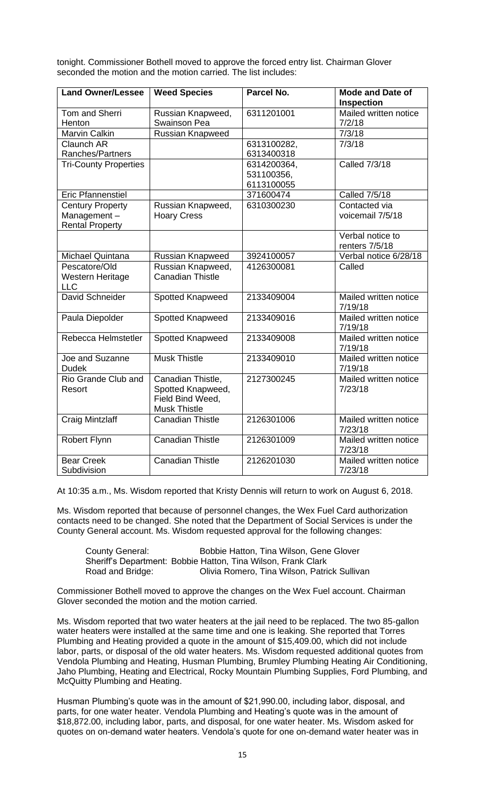tonight. Commissioner Bothell moved to approve the forced entry list. Chairman Glover seconded the motion and the motion carried. The list includes:

| <b>Land Owner/Lessee</b>     | <b>Weed Species</b>     | Parcel No.  | <b>Mode and Date of</b> |
|------------------------------|-------------------------|-------------|-------------------------|
|                              |                         |             | Inspection              |
| Tom and Sherri               | Russian Knapweed,       | 6311201001  | Mailed written notice   |
| Henton                       | Swainson Pea            |             | 7/2/18                  |
| Marvin Calkin                | <b>Russian Knapweed</b> |             | 7/3/18                  |
| <b>Claunch AR</b>            |                         | 6313100282, | 7/3/18                  |
| Ranches/Partners             |                         | 6313400318  |                         |
| <b>Tri-County Properties</b> |                         | 6314200364, | <b>Called 7/3/18</b>    |
|                              |                         | 531100356,  |                         |
|                              |                         | 6113100055  |                         |
| <b>Eric Pfannenstiel</b>     |                         | 371600474   | Called 7/5/18           |
| <b>Century Property</b>      | Russian Knapweed,       | 6310300230  | Contacted via           |
| Management-                  | <b>Hoary Cress</b>      |             | voicemail 7/5/18        |
| <b>Rental Property</b>       |                         |             |                         |
|                              |                         |             | Verbal notice to        |
|                              |                         |             | renters 7/5/18          |
| Michael Quintana             | Russian Knapweed        | 3924100057  | Verbal notice 6/28/18   |
| Pescatore/Old                | Russian Knapweed,       | 4126300081  | Called                  |
| Western Heritage             | <b>Canadian Thistle</b> |             |                         |
| <b>LLC</b>                   |                         |             |                         |
| David Schneider              | Spotted Knapweed        | 2133409004  | Mailed written notice   |
|                              |                         |             | 7/19/18                 |
| Paula Diepolder              | <b>Spotted Knapweed</b> | 2133409016  | Mailed written notice   |
|                              |                         |             | 7/19/18                 |
| Rebecca Helmstetler          | Spotted Knapweed        | 2133409008  | Mailed written notice   |
|                              |                         |             | 7/19/18                 |
| Joe and Suzanne              | <b>Musk Thistle</b>     | 2133409010  | Mailed written notice   |
| <b>Dudek</b>                 |                         |             | 7/19/18                 |
| Rio Grande Club and          | Canadian Thistle,       | 2127300245  | Mailed written notice   |
| Resort                       | Spotted Knapweed,       |             | 7/23/18                 |
|                              | Field Bind Weed,        |             |                         |
|                              | <b>Musk Thistle</b>     |             |                         |
| <b>Craig Mintzlaff</b>       | <b>Canadian Thistle</b> | 2126301006  | Mailed written notice   |
|                              |                         |             | 7/23/18                 |
| Robert Flynn                 | <b>Canadian Thistle</b> | 2126301009  | Mailed written notice   |
|                              |                         |             | 7/23/18                 |
| <b>Bear Creek</b>            | <b>Canadian Thistle</b> | 2126201030  | Mailed written notice   |
| Subdivision                  |                         |             | 7/23/18                 |

At 10:35 a.m., Ms. Wisdom reported that Kristy Dennis will return to work on August 6, 2018.

Ms. Wisdom reported that because of personnel changes, the Wex Fuel Card authorization contacts need to be changed. She noted that the Department of Social Services is under the County General account. Ms. Wisdom requested approval for the following changes:

| <b>County General:</b> | Bobbie Hatton, Tina Wilson, Gene Glover                       |
|------------------------|---------------------------------------------------------------|
|                        | Sheriff's Department: Bobbie Hatton, Tina Wilson, Frank Clark |
| Road and Bridge:       | Olivia Romero, Tina Wilson, Patrick Sullivan                  |

Commissioner Bothell moved to approve the changes on the Wex Fuel account. Chairman Glover seconded the motion and the motion carried.

Ms. Wisdom reported that two water heaters at the jail need to be replaced. The two 85-gallon water heaters were installed at the same time and one is leaking. She reported that Torres Plumbing and Heating provided a quote in the amount of \$15,409.00, which did not include labor, parts, or disposal of the old water heaters. Ms. Wisdom requested additional quotes from Vendola Plumbing and Heating, Husman Plumbing, Brumley Plumbing Heating Air Conditioning, Jaho Plumbing, Heating and Electrical, Rocky Mountain Plumbing Supplies, Ford Plumbing, and McQuitty Plumbing and Heating.

Husman Plumbing's quote was in the amount of \$21,990.00, including labor, disposal, and parts, for one water heater. Vendola Plumbing and Heating's quote was in the amount of \$18,872.00, including labor, parts, and disposal, for one water heater. Ms. Wisdom asked for quotes on on-demand water heaters. Vendola's quote for one on-demand water heater was in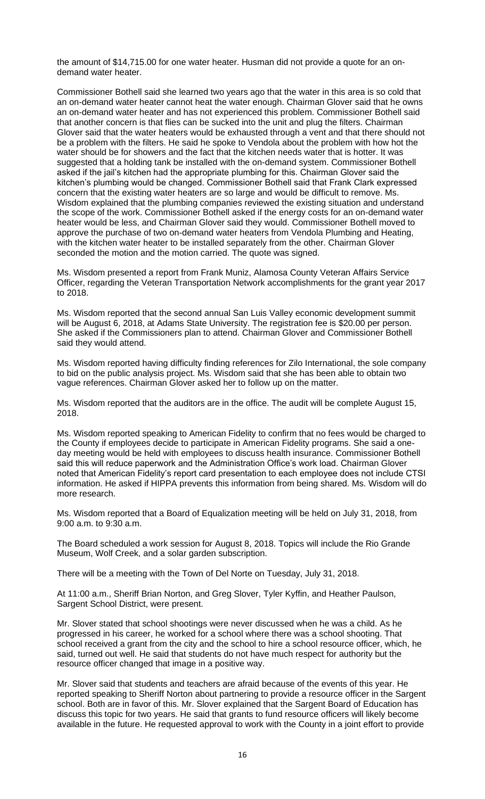the amount of \$14,715.00 for one water heater. Husman did not provide a quote for an ondemand water heater.

Commissioner Bothell said she learned two years ago that the water in this area is so cold that an on-demand water heater cannot heat the water enough. Chairman Glover said that he owns an on-demand water heater and has not experienced this problem. Commissioner Bothell said that another concern is that flies can be sucked into the unit and plug the filters. Chairman Glover said that the water heaters would be exhausted through a vent and that there should not be a problem with the filters. He said he spoke to Vendola about the problem with how hot the water should be for showers and the fact that the kitchen needs water that is hotter. It was suggested that a holding tank be installed with the on-demand system. Commissioner Bothell asked if the jail's kitchen had the appropriate plumbing for this. Chairman Glover said the kitchen's plumbing would be changed. Commissioner Bothell said that Frank Clark expressed concern that the existing water heaters are so large and would be difficult to remove. Ms. Wisdom explained that the plumbing companies reviewed the existing situation and understand the scope of the work. Commissioner Bothell asked if the energy costs for an on-demand water heater would be less, and Chairman Glover said they would. Commissioner Bothell moved to approve the purchase of two on-demand water heaters from Vendola Plumbing and Heating, with the kitchen water heater to be installed separately from the other. Chairman Glover seconded the motion and the motion carried. The quote was signed.

Ms. Wisdom presented a report from Frank Muniz, Alamosa County Veteran Affairs Service Officer, regarding the Veteran Transportation Network accomplishments for the grant year 2017 to 2018.

Ms. Wisdom reported that the second annual San Luis Valley economic development summit will be August 6, 2018, at Adams State University. The registration fee is \$20.00 per person. She asked if the Commissioners plan to attend. Chairman Glover and Commissioner Bothell said they would attend.

Ms. Wisdom reported having difficulty finding references for Zilo International, the sole company to bid on the public analysis project. Ms. Wisdom said that she has been able to obtain two vague references. Chairman Glover asked her to follow up on the matter.

Ms. Wisdom reported that the auditors are in the office. The audit will be complete August 15, 2018.

Ms. Wisdom reported speaking to American Fidelity to confirm that no fees would be charged to the County if employees decide to participate in American Fidelity programs. She said a oneday meeting would be held with employees to discuss health insurance. Commissioner Bothell said this will reduce paperwork and the Administration Office's work load. Chairman Glover noted that American Fidelity's report card presentation to each employee does not include CTSI information. He asked if HIPPA prevents this information from being shared. Ms. Wisdom will do more research.

Ms. Wisdom reported that a Board of Equalization meeting will be held on July 31, 2018, from 9:00 a.m. to 9:30 a.m.

The Board scheduled a work session for August 8, 2018. Topics will include the Rio Grande Museum, Wolf Creek, and a solar garden subscription.

There will be a meeting with the Town of Del Norte on Tuesday, July 31, 2018.

At 11:00 a.m., Sheriff Brian Norton, and Greg Slover, Tyler Kyffin, and Heather Paulson, Sargent School District, were present.

Mr. Slover stated that school shootings were never discussed when he was a child. As he progressed in his career, he worked for a school where there was a school shooting. That school received a grant from the city and the school to hire a school resource officer, which, he said, turned out well. He said that students do not have much respect for authority but the resource officer changed that image in a positive way.

Mr. Slover said that students and teachers are afraid because of the events of this year. He reported speaking to Sheriff Norton about partnering to provide a resource officer in the Sargent school. Both are in favor of this. Mr. Slover explained that the Sargent Board of Education has discuss this topic for two years. He said that grants to fund resource officers will likely become available in the future. He requested approval to work with the County in a joint effort to provide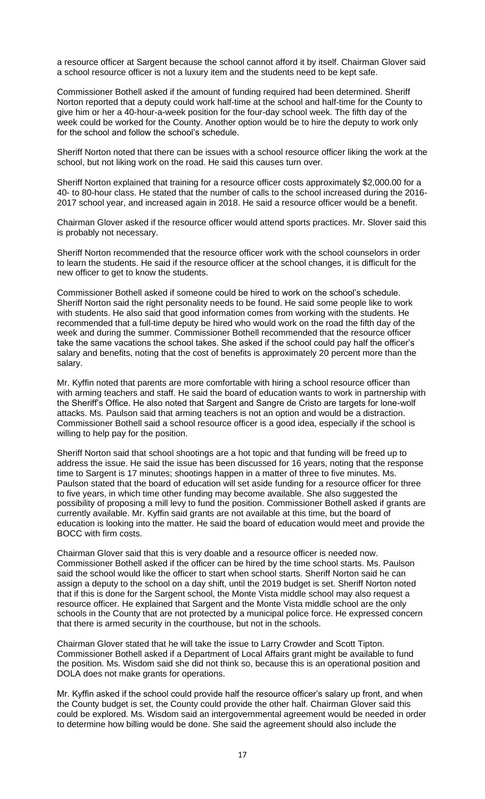a resource officer at Sargent because the school cannot afford it by itself. Chairman Glover said a school resource officer is not a luxury item and the students need to be kept safe.

Commissioner Bothell asked if the amount of funding required had been determined. Sheriff Norton reported that a deputy could work half-time at the school and half-time for the County to give him or her a 40-hour-a-week position for the four-day school week. The fifth day of the week could be worked for the County. Another option would be to hire the deputy to work only for the school and follow the school's schedule.

Sheriff Norton noted that there can be issues with a school resource officer liking the work at the school, but not liking work on the road. He said this causes turn over.

Sheriff Norton explained that training for a resource officer costs approximately \$2,000.00 for a 40- to 80-hour class. He stated that the number of calls to the school increased during the 2016- 2017 school year, and increased again in 2018. He said a resource officer would be a benefit.

Chairman Glover asked if the resource officer would attend sports practices. Mr. Slover said this is probably not necessary.

Sheriff Norton recommended that the resource officer work with the school counselors in order to learn the students. He said if the resource officer at the school changes, it is difficult for the new officer to get to know the students.

Commissioner Bothell asked if someone could be hired to work on the school's schedule. Sheriff Norton said the right personality needs to be found. He said some people like to work with students. He also said that good information comes from working with the students. He recommended that a full-time deputy be hired who would work on the road the fifth day of the week and during the summer. Commissioner Bothell recommended that the resource officer take the same vacations the school takes. She asked if the school could pay half the officer's salary and benefits, noting that the cost of benefits is approximately 20 percent more than the salary.

Mr. Kyffin noted that parents are more comfortable with hiring a school resource officer than with arming teachers and staff. He said the board of education wants to work in partnership with the Sheriff's Office. He also noted that Sargent and Sangre de Cristo are targets for lone-wolf attacks. Ms. Paulson said that arming teachers is not an option and would be a distraction. Commissioner Bothell said a school resource officer is a good idea, especially if the school is willing to help pay for the position.

Sheriff Norton said that school shootings are a hot topic and that funding will be freed up to address the issue. He said the issue has been discussed for 16 years, noting that the response time to Sargent is 17 minutes; shootings happen in a matter of three to five minutes. Ms. Paulson stated that the board of education will set aside funding for a resource officer for three to five years, in which time other funding may become available. She also suggested the possibility of proposing a mill levy to fund the position. Commissioner Bothell asked if grants are currently available. Mr. Kyffin said grants are not available at this time, but the board of education is looking into the matter. He said the board of education would meet and provide the BOCC with firm costs.

Chairman Glover said that this is very doable and a resource officer is needed now. Commissioner Bothell asked if the officer can be hired by the time school starts. Ms. Paulson said the school would like the officer to start when school starts. Sheriff Norton said he can assign a deputy to the school on a day shift, until the 2019 budget is set. Sheriff Norton noted that if this is done for the Sargent school, the Monte Vista middle school may also request a resource officer. He explained that Sargent and the Monte Vista middle school are the only schools in the County that are not protected by a municipal police force. He expressed concern that there is armed security in the courthouse, but not in the schools.

Chairman Glover stated that he will take the issue to Larry Crowder and Scott Tipton. Commissioner Bothell asked if a Department of Local Affairs grant might be available to fund the position. Ms. Wisdom said she did not think so, because this is an operational position and DOLA does not make grants for operations.

Mr. Kyffin asked if the school could provide half the resource officer's salary up front, and when the County budget is set, the County could provide the other half. Chairman Glover said this could be explored. Ms. Wisdom said an intergovernmental agreement would be needed in order to determine how billing would be done. She said the agreement should also include the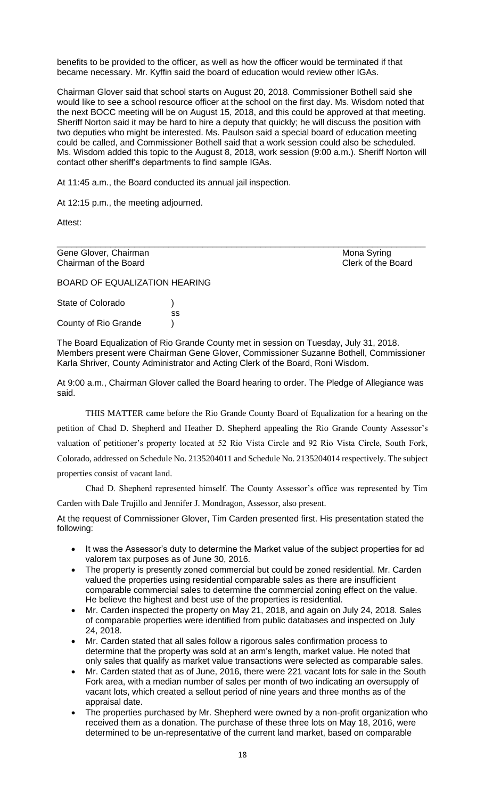benefits to be provided to the officer, as well as how the officer would be terminated if that became necessary. Mr. Kyffin said the board of education would review other IGAs.

Chairman Glover said that school starts on August 20, 2018. Commissioner Bothell said she would like to see a school resource officer at the school on the first day. Ms. Wisdom noted that the next BOCC meeting will be on August 15, 2018, and this could be approved at that meeting. Sheriff Norton said it may be hard to hire a deputy that quickly; he will discuss the position with two deputies who might be interested. Ms. Paulson said a special board of education meeting could be called, and Commissioner Bothell said that a work session could also be scheduled. Ms. Wisdom added this topic to the August 8, 2018, work session (9:00 a.m.). Sheriff Norton will contact other sheriff's departments to find sample IGAs.

At 11:45 a.m., the Board conducted its annual jail inspection.

At 12:15 p.m., the meeting adjourned.

Attest:

Gene Glover, Chairman and Chairman and Chairman and Chairman and Clerk of the Board Chairman of the Board Chairman of the Board

BOARD OF EQUALIZATION HEARING

State of Colorado (1996) ss County of Rio Grande )

The Board Equalization of Rio Grande County met in session on Tuesday, July 31, 2018. Members present were Chairman Gene Glover, Commissioner Suzanne Bothell, Commissioner Karla Shriver, County Administrator and Acting Clerk of the Board, Roni Wisdom.

\_\_\_\_\_\_\_\_\_\_\_\_\_\_\_\_\_\_\_\_\_\_\_\_\_\_\_\_\_\_\_\_\_\_\_\_\_\_\_\_\_\_\_\_\_\_\_\_\_\_\_\_\_\_\_\_\_\_\_\_\_\_\_\_\_\_\_\_\_\_\_\_\_\_\_\_

At 9:00 a.m., Chairman Glover called the Board hearing to order. The Pledge of Allegiance was said.

THIS MATTER came before the Rio Grande County Board of Equalization for a hearing on the petition of Chad D. Shepherd and Heather D. Shepherd appealing the Rio Grande County Assessor's valuation of petitioner's property located at 52 Rio Vista Circle and 92 Rio Vista Circle, South Fork, Colorado, addressed on Schedule No. 2135204011 and Schedule No. 2135204014 respectively. The subject properties consist of vacant land.

Chad D. Shepherd represented himself. The County Assessor's office was represented by Tim Carden with Dale Trujillo and Jennifer J. Mondragon, Assessor, also present.

At the request of Commissioner Glover, Tim Carden presented first. His presentation stated the following:

- It was the Assessor's duty to determine the Market value of the subject properties for ad valorem tax purposes as of June 30, 2016.
- The property is presently zoned commercial but could be zoned residential. Mr. Carden valued the properties using residential comparable sales as there are insufficient comparable commercial sales to determine the commercial zoning effect on the value. He believe the highest and best use of the properties is residential.
- Mr. Carden inspected the property on May 21, 2018, and again on July 24, 2018. Sales of comparable properties were identified from public databases and inspected on July 24, 2018.
- Mr. Carden stated that all sales follow a rigorous sales confirmation process to determine that the property was sold at an arm's length, market value. He noted that only sales that qualify as market value transactions were selected as comparable sales.
- Mr. Carden stated that as of June, 2016, there were 221 vacant lots for sale in the South Fork area, with a median number of sales per month of two indicating an oversupply of vacant lots, which created a sellout period of nine years and three months as of the appraisal date.
- The properties purchased by Mr. Shepherd were owned by a non-profit organization who received them as a donation. The purchase of these three lots on May 18, 2016, were determined to be un-representative of the current land market, based on comparable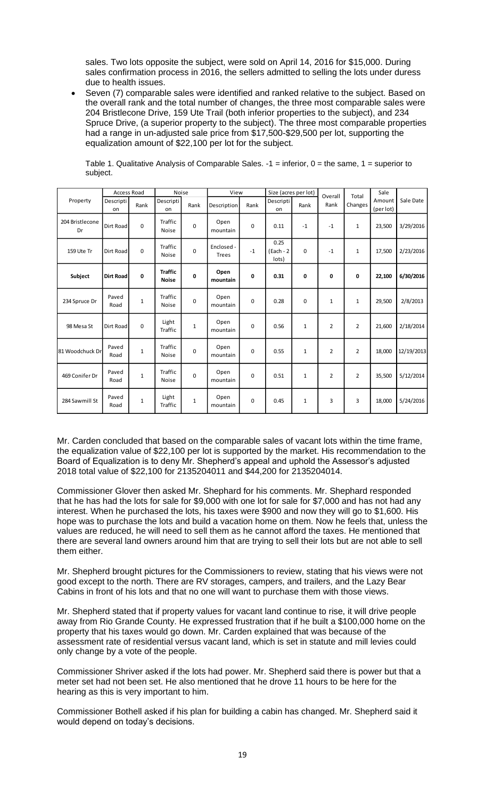sales. Two lots opposite the subject, were sold on April 14, 2016 for \$15,000. During sales confirmation process in 2016, the sellers admitted to selling the lots under duress due to health issues.

• Seven (7) comparable sales were identified and ranked relative to the subject. Based on the overall rank and the total number of changes, the three most comparable sales were 204 Bristlecone Drive, 159 Ute Trail (both inferior properties to the subject), and 234 Spruce Drive, (a superior property to the subject). The three most comparable properties had a range in un-adjusted sale price from \$17,500-\$29,500 per lot, supporting the equalization amount of \$22,100 per lot for the subject.

| Property              | <b>Access Road</b> |              | <b>Noise</b>                   |              | View                       |      | Size (acres per lot)          |              | Overall        | Total          | Sale                |            |
|-----------------------|--------------------|--------------|--------------------------------|--------------|----------------------------|------|-------------------------------|--------------|----------------|----------------|---------------------|------------|
|                       | Descripti<br>on    | Rank         | Descripti<br>on                | Rank         | Description                | Rank | Descripti<br>on               | Rank         | Rank           | Changes        | Amount<br>(per lot) | Sale Date  |
| 204 Bristlecone<br>Dr | Dirt Road          | $\Omega$     | Traffic<br><b>Noise</b>        | $\mathbf 0$  | Open<br>mountain           | 0    | 0.11                          | $-1$         | $-1$           | $\mathbf{1}$   | 23,500              | 3/29/2016  |
| 159 Ute Tr            | Dirt Road          | $\Omega$     | Traffic<br><b>Noise</b>        | $\Omega$     | Enclosed -<br><b>Trees</b> | $-1$ | 0.25<br>$(Each - 2)$<br>lots) | 0            | $-1$           | 1              | 17,500              | 2/23/2016  |
| Subject               | <b>Dirt Road</b>   | 0            | <b>Traffic</b><br><b>Noise</b> | 0            | Open<br>mountain           | 0    | 0.31                          | 0            | 0              | 0              | 22,100              | 6/30/2016  |
| 234 Spruce Dr         | Paved<br>Road      | $\mathbf{1}$ | Traffic<br><b>Noise</b>        | $\mathbf 0$  | Open<br>mountain           | 0    | 0.28                          | 0            | $\mathbf{1}$   | $\mathbf{1}$   | 29,500              | 2/8/2013   |
| 98 Mesa St            | Dirt Road          | $\Omega$     | Light<br>Traffic               | $\mathbf{1}$ | Open<br>mountain           | 0    | 0.56                          | $\mathbf{1}$ | $\overline{2}$ | $\overline{2}$ | 21,600              | 2/18/2014  |
| 81 Woodchuck Dr       | Paved<br>Road      | 1            | Traffic<br><b>Noise</b>        | $\Omega$     | Open<br>mountain           | 0    | 0.55                          | $\mathbf{1}$ | $\overline{2}$ | $\overline{2}$ | 18,000              | 12/19/2013 |
| 469 Conifer Dr        | Paved<br>Road      | 1            | Traffic<br><b>Noise</b>        | $\mathbf 0$  | Open<br>mountain           | 0    | 0.51                          | 1            | $\overline{2}$ | $\overline{2}$ | 35,500              | 5/12/2014  |
| 284 Sawmill St        | Paved<br>Road      | $\mathbf{1}$ | Light<br>Traffic               | $\mathbf{1}$ | Open<br>mountain           | 0    | 0.45                          | 1            | 3              | 3              | 18,000              | 5/24/2016  |

Table 1. Qualitative Analysis of Comparable Sales.  $-1$  = inferior,  $0$  = the same,  $1$  = superior to subject.

Mr. Carden concluded that based on the comparable sales of vacant lots within the time frame, the equalization value of \$22,100 per lot is supported by the market. His recommendation to the Board of Equalization is to deny Mr. Shepherd's appeal and uphold the Assessor's adjusted 2018 total value of \$22,100 for 2135204011 and \$44,200 for 2135204014.

Commissioner Glover then asked Mr. Shephard for his comments. Mr. Shephard responded that he has had the lots for sale for \$9,000 with one lot for sale for \$7,000 and has not had any interest. When he purchased the lots, his taxes were \$900 and now they will go to \$1,600. His hope was to purchase the lots and build a vacation home on them. Now he feels that, unless the values are reduced, he will need to sell them as he cannot afford the taxes. He mentioned that there are several land owners around him that are trying to sell their lots but are not able to sell them either.

Mr. Shepherd brought pictures for the Commissioners to review, stating that his views were not good except to the north. There are RV storages, campers, and trailers, and the Lazy Bear Cabins in front of his lots and that no one will want to purchase them with those views.

Mr. Shepherd stated that if property values for vacant land continue to rise, it will drive people away from Rio Grande County. He expressed frustration that if he built a \$100,000 home on the property that his taxes would go down. Mr. Carden explained that was because of the assessment rate of residential versus vacant land, which is set in statute and mill levies could only change by a vote of the people.

Commissioner Shriver asked if the lots had power. Mr. Shepherd said there is power but that a meter set had not been set. He also mentioned that he drove 11 hours to be here for the hearing as this is very important to him.

Commissioner Bothell asked if his plan for building a cabin has changed. Mr. Shepherd said it would depend on today's decisions.